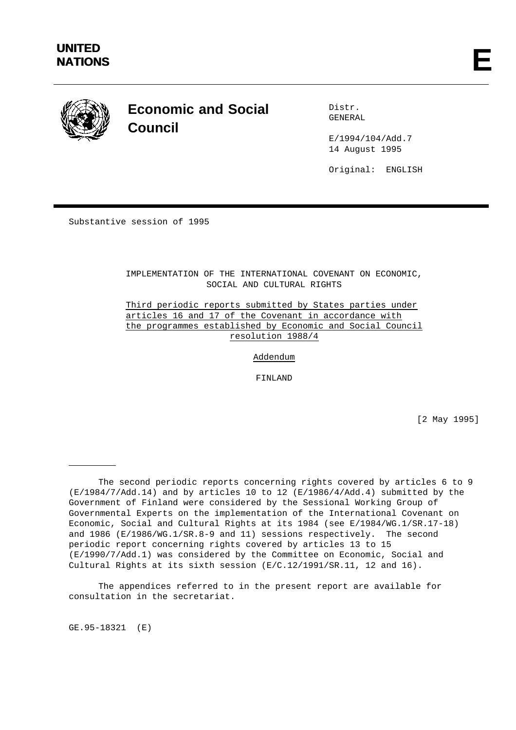

# **Economic and Social Council**

Distr. GENERAL

E/1994/104/Add.7 14 August 1995

Original: ENGLISH

Substantive session of 1995

IMPLEMENTATION OF THE INTERNATIONAL COVENANT ON ECONOMIC, SOCIAL AND CULTURAL RIGHTS

Third periodic reports submitted by States parties under articles 16 and 17 of the Covenant in accordance with the programmes established by Economic and Social Council resolution 1988/4

Addendum

FINLAND

[2 May 1995]

The appendices referred to in the present report are available for consultation in the secretariat.

GE.95-18321 (E)

The second periodic reports concerning rights covered by articles 6 to 9 (E/1984/7/Add.14) and by articles 10 to 12 (E/1986/4/Add.4) submitted by the Government of Finland were considered by the Sessional Working Group of Governmental Experts on the implementation of the International Covenant on Economic, Social and Cultural Rights at its 1984 (see E/1984/WG.1/SR.17-18) and 1986 (E/1986/WG.1/SR.8-9 and 11) sessions respectively. The second periodic report concerning rights covered by articles 13 to 15 (E/1990/7/Add.1) was considered by the Committee on Economic, Social and Cultural Rights at its sixth session (E/C.12/1991/SR.11, 12 and 16).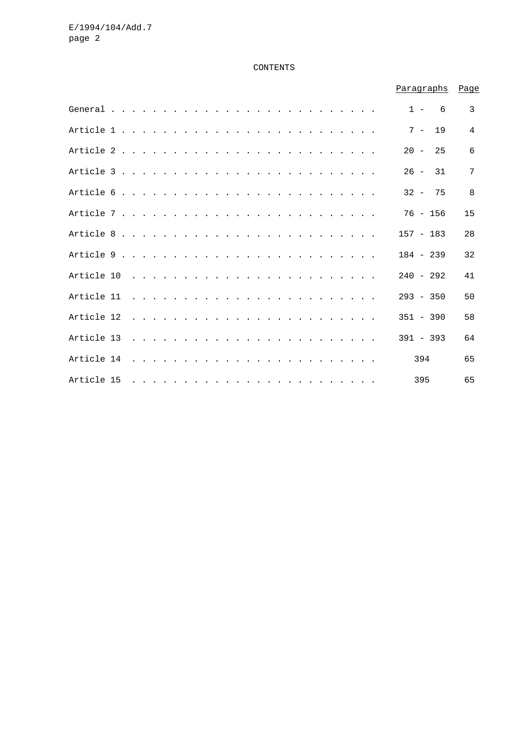# CONTENTS

|                                                                                                                     |  |  |  |  |                                                                                                                 |  |  |  |  |  |  |  |  | Paragraphs  |     |          | Page |
|---------------------------------------------------------------------------------------------------------------------|--|--|--|--|-----------------------------------------------------------------------------------------------------------------|--|--|--|--|--|--|--|--|-------------|-----|----------|------|
| General $\ldots$ $\ldots$ $\ldots$ $\ldots$ $\ldots$ $\ldots$ $\ldots$ $\ldots$ $\ldots$ $\ldots$ $\ldots$ $\ldots$ |  |  |  |  |                                                                                                                 |  |  |  |  |  |  |  |  |             |     | $1 - 6$  | 3    |
|                                                                                                                     |  |  |  |  |                                                                                                                 |  |  |  |  |  |  |  |  |             |     | $7 - 19$ | 4    |
|                                                                                                                     |  |  |  |  |                                                                                                                 |  |  |  |  |  |  |  |  | $20 - 25$   |     |          | 6    |
|                                                                                                                     |  |  |  |  |                                                                                                                 |  |  |  |  |  |  |  |  | $26 - 31$   |     |          | 7    |
|                                                                                                                     |  |  |  |  |                                                                                                                 |  |  |  |  |  |  |  |  | $32 - 75$   |     |          | 8    |
|                                                                                                                     |  |  |  |  |                                                                                                                 |  |  |  |  |  |  |  |  | $76 - 156$  |     |          | 15   |
|                                                                                                                     |  |  |  |  |                                                                                                                 |  |  |  |  |  |  |  |  | $157 - 183$ |     |          | 28   |
|                                                                                                                     |  |  |  |  |                                                                                                                 |  |  |  |  |  |  |  |  | $184 - 239$ |     |          | 32   |
|                                                                                                                     |  |  |  |  |                                                                                                                 |  |  |  |  |  |  |  |  | $240 - 292$ |     |          | 41   |
|                                                                                                                     |  |  |  |  |                                                                                                                 |  |  |  |  |  |  |  |  | $293 - 350$ |     |          | 50   |
| Article 12                                                                                                          |  |  |  |  | the contract of the contract of the contract of the contract of the contract of the contract of the contract of |  |  |  |  |  |  |  |  | $351 - 390$ |     |          | 58   |
|                                                                                                                     |  |  |  |  |                                                                                                                 |  |  |  |  |  |  |  |  | $391 - 393$ |     |          | 64   |
|                                                                                                                     |  |  |  |  |                                                                                                                 |  |  |  |  |  |  |  |  |             | 394 |          | 65   |
| Article 15                                                                                                          |  |  |  |  |                                                                                                                 |  |  |  |  |  |  |  |  |             | 395 |          | 65   |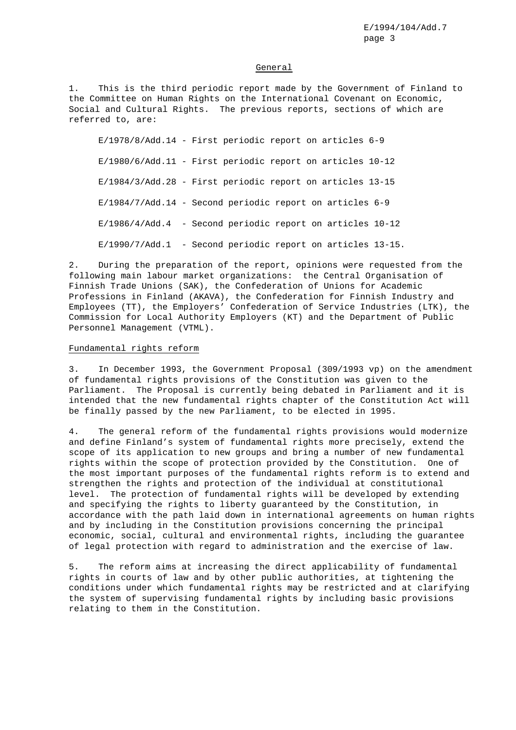#### General

1. This is the third periodic report made by the Government of Finland to the Committee on Human Rights on the International Covenant on Economic, Social and Cultural Rights. The previous reports, sections of which are referred to, are:

E/1978/8/Add.14 - First periodic report on articles 6-9 E/1980/6/Add.11 - First periodic report on articles 10-12 E/1984/3/Add.28 - First periodic report on articles 13-15 E/1984/7/Add.14 - Second periodic report on articles 6-9 E/1986/4/Add.4 - Second periodic report on articles 10-12 E/1990/7/Add.1 - Second periodic report on articles 13-15.

2. During the preparation of the report, opinions were requested from the following main labour market organizations: the Central Organisation of Finnish Trade Unions (SAK), the Confederation of Unions for Academic Professions in Finland (AKAVA), the Confederation for Finnish Industry and Employees (TT), the Employers' Confederation of Service Industries (LTK), the Commission for Local Authority Employers (KT) and the Department of Public Personnel Management (VTML).

### Fundamental rights reform

3. In December 1993, the Government Proposal (309/1993 vp) on the amendment of fundamental rights provisions of the Constitution was given to the Parliament. The Proposal is currently being debated in Parliament and it is intended that the new fundamental rights chapter of the Constitution Act will be finally passed by the new Parliament, to be elected in 1995.

4. The general reform of the fundamental rights provisions would modernize and define Finland's system of fundamental rights more precisely, extend the scope of its application to new groups and bring a number of new fundamental rights within the scope of protection provided by the Constitution. One of the most important purposes of the fundamental rights reform is to extend and strengthen the rights and protection of the individual at constitutional level. The protection of fundamental rights will be developed by extending and specifying the rights to liberty guaranteed by the Constitution, in accordance with the path laid down in international agreements on human rights and by including in the Constitution provisions concerning the principal economic, social, cultural and environmental rights, including the guarantee of legal protection with regard to administration and the exercise of law.

5. The reform aims at increasing the direct applicability of fundamental rights in courts of law and by other public authorities, at tightening the conditions under which fundamental rights may be restricted and at clarifying the system of supervising fundamental rights by including basic provisions relating to them in the Constitution.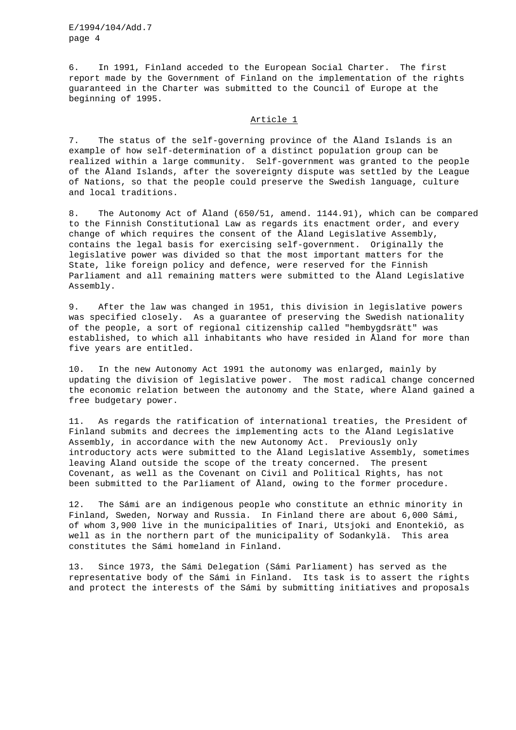6. In 1991, Finland acceded to the European Social Charter. The first report made by the Government of Finland on the implementation of the rights guaranteed in the Charter was submitted to the Council of Europe at the beginning of 1995.

# Article 1

7. The status of the self-governing province of the Åland Islands is an example of how self-determination of a distinct population group can be realized within a large community. Self-government was granted to the people of the Åland Islands, after the sovereignty dispute was settled by the League of Nations, so that the people could preserve the Swedish language, culture and local traditions.

8. The Autonomy Act of Åland (650/51, amend. 1144.91), which can be compared to the Finnish Constitutional Law as regards its enactment order, and every change of which requires the consent of the Åland Legislative Assembly, contains the legal basis for exercising self-government. Originally the legislative power was divided so that the most important matters for the State, like foreign policy and defence, were reserved for the Finnish Parliament and all remaining matters were submitted to the Åland Legislative Assembly.

9. After the law was changed in 1951, this division in legislative powers was specified closely. As a guarantee of preserving the Swedish nationality of the people, a sort of regional citizenship called "hembygdsrätt" was established, to which all inhabitants who have resided in Åland for more than five years are entitled.

10. In the new Autonomy Act 1991 the autonomy was enlarged, mainly by updating the division of legislative power. The most radical change concerned the economic relation between the autonomy and the State, where Åland gained a free budgetary power.

11. As regards the ratification of international treaties, the President of Finland submits and decrees the implementing acts to the Åland Legislative Assembly, in accordance with the new Autonomy Act. Previously only introductory acts were submitted to the Åland Legislative Assembly, sometimes leaving Åland outside the scope of the treaty concerned. The present Covenant, as well as the Covenant on Civil and Political Rights, has not been submitted to the Parliament of Åland, owing to the former procedure.

12. The Sámi are an indigenous people who constitute an ethnic minority in Finland, Sweden, Norway and Russia. In Finland there are about 6,000 Sámi, of whom 3,900 live in the municipalities of Inari, Utsjoki and Enontekiö, as well as in the northern part of the municipality of Sodankylä. This area constitutes the Sámi homeland in Finland.

13. Since 1973, the Sámi Delegation (Sámi Parliament) has served as the representative body of the Sámi in Finland. Its task is to assert the rights and protect the interests of the Sámi by submitting initiatives and proposals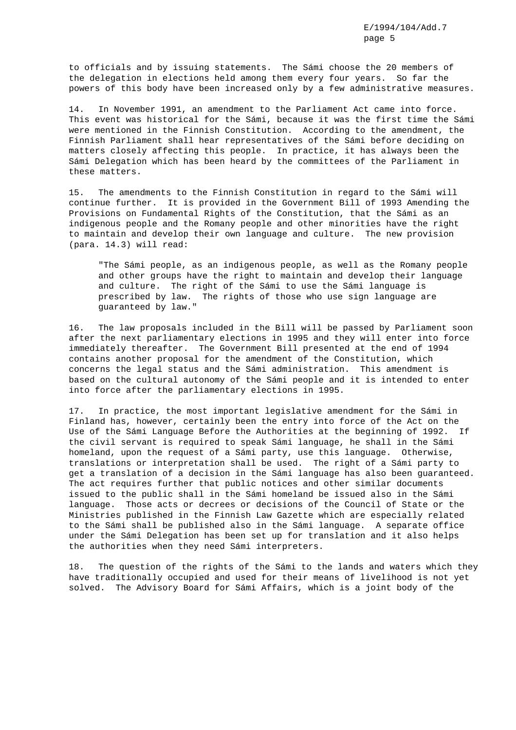to officials and by issuing statements. The Sámi choose the 20 members of the delegation in elections held among them every four years. So far the powers of this body have been increased only by a few administrative measures.

14. In November 1991, an amendment to the Parliament Act came into force. This event was historical for the Sámi, because it was the first time the Sámi were mentioned in the Finnish Constitution. According to the amendment, the Finnish Parliament shall hear representatives of the Sámi before deciding on matters closely affecting this people. In practice, it has always been the Sámi Delegation which has been heard by the committees of the Parliament in these matters.

15. The amendments to the Finnish Constitution in regard to the Sámi will continue further. It is provided in the Government Bill of 1993 Amending the Provisions on Fundamental Rights of the Constitution, that the Sámi as an indigenous people and the Romany people and other minorities have the right to maintain and develop their own language and culture. The new provision (para. 14.3) will read:

"The Sámi people, as an indigenous people, as well as the Romany people and other groups have the right to maintain and develop their language and culture. The right of the Sámi to use the Sámi language is prescribed by law. The rights of those who use sign language are guaranteed by law."

16. The law proposals included in the Bill will be passed by Parliament soon after the next parliamentary elections in 1995 and they will enter into force immediately thereafter. The Government Bill presented at the end of 1994 contains another proposal for the amendment of the Constitution, which concerns the legal status and the Sámi administration. This amendment is based on the cultural autonomy of the Sámi people and it is intended to enter into force after the parliamentary elections in 1995.

17. In practice, the most important legislative amendment for the Sámi in Finland has, however, certainly been the entry into force of the Act on the Use of the Sámi Language Before the Authorities at the beginning of 1992. If the civil servant is required to speak Sámi language, he shall in the Sámi homeland, upon the request of a Sámi party, use this language. Otherwise, translations or interpretation shall be used. The right of a Sámi party to get a translation of a decision in the Sámi language has also been guaranteed. The act requires further that public notices and other similar documents issued to the public shall in the Sámi homeland be issued also in the Sámi language. Those acts or decrees or decisions of the Council of State or the Ministries published in the Finnish Law Gazette which are especially related to the Sámi shall be published also in the Sámi language. A separate office under the Sámi Delegation has been set up for translation and it also helps the authorities when they need Sámi interpreters.

18. The question of the rights of the Sámi to the lands and waters which they have traditionally occupied and used for their means of livelihood is not yet solved. The Advisory Board for Sámi Affairs, which is a joint body of the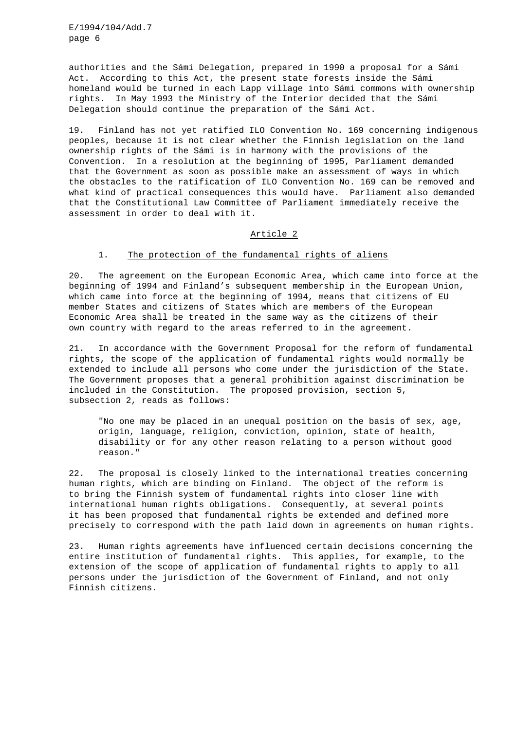authorities and the Sámi Delegation, prepared in 1990 a proposal for a Sámi Act. According to this Act, the present state forests inside the Sámi homeland would be turned in each Lapp village into Sámi commons with ownership rights. In May 1993 the Ministry of the Interior decided that the Sámi Delegation should continue the preparation of the Sámi Act.

19. Finland has not yet ratified ILO Convention No. 169 concerning indigenous peoples, because it is not clear whether the Finnish legislation on the land ownership rights of the Sámi is in harmony with the provisions of the Convention. In a resolution at the beginning of 1995, Parliament demanded that the Government as soon as possible make an assessment of ways in which the obstacles to the ratification of ILO Convention No. 169 can be removed and what kind of practical consequences this would have. Parliament also demanded that the Constitutional Law Committee of Parliament immediately receive the assessment in order to deal with it.

# Article 2

### 1. The protection of the fundamental rights of aliens

20. The agreement on the European Economic Area, which came into force at the beginning of 1994 and Finland's subsequent membership in the European Union, which came into force at the beginning of 1994, means that citizens of EU member States and citizens of States which are members of the European Economic Area shall be treated in the same way as the citizens of their own country with regard to the areas referred to in the agreement.

21. In accordance with the Government Proposal for the reform of fundamental rights, the scope of the application of fundamental rights would normally be extended to include all persons who come under the jurisdiction of the State. The Government proposes that a general prohibition against discrimination be included in the Constitution. The proposed provision, section 5, subsection 2, reads as follows:

"No one may be placed in an unequal position on the basis of sex, age, origin, language, religion, conviction, opinion, state of health, disability or for any other reason relating to a person without good reason."

22. The proposal is closely linked to the international treaties concerning human rights, which are binding on Finland. The object of the reform is to bring the Finnish system of fundamental rights into closer line with international human rights obligations. Consequently, at several points it has been proposed that fundamental rights be extended and defined more precisely to correspond with the path laid down in agreements on human rights.

23. Human rights agreements have influenced certain decisions concerning the entire institution of fundamental rights. This applies, for example, to the extension of the scope of application of fundamental rights to apply to all persons under the jurisdiction of the Government of Finland, and not only Finnish citizens.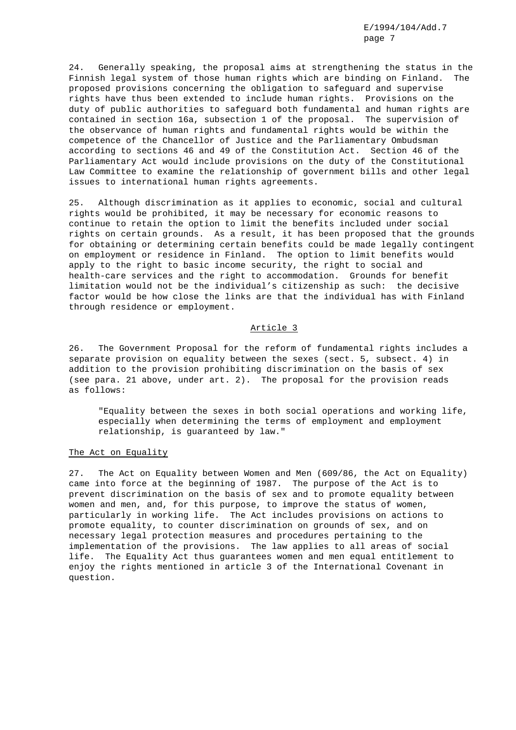24. Generally speaking, the proposal aims at strengthening the status in the Finnish legal system of those human rights which are binding on Finland. The proposed provisions concerning the obligation to safeguard and supervise rights have thus been extended to include human rights. Provisions on the duty of public authorities to safeguard both fundamental and human rights are contained in section 16a, subsection 1 of the proposal. The supervision of the observance of human rights and fundamental rights would be within the competence of the Chancellor of Justice and the Parliamentary Ombudsman according to sections 46 and 49 of the Constitution Act. Section 46 of the Parliamentary Act would include provisions on the duty of the Constitutional Law Committee to examine the relationship of government bills and other legal issues to international human rights agreements.

25. Although discrimination as it applies to economic, social and cultural rights would be prohibited, it may be necessary for economic reasons to continue to retain the option to limit the benefits included under social rights on certain grounds. As a result, it has been proposed that the grounds for obtaining or determining certain benefits could be made legally contingent on employment or residence in Finland. The option to limit benefits would apply to the right to basic income security, the right to social and health-care services and the right to accommodation. Grounds for benefit limitation would not be the individual's citizenship as such: the decisive factor would be how close the links are that the individual has with Finland through residence or employment.

### Article 3

26. The Government Proposal for the reform of fundamental rights includes a separate provision on equality between the sexes (sect. 5, subsect. 4) in addition to the provision prohibiting discrimination on the basis of sex (see para. 21 above, under art. 2). The proposal for the provision reads as follows:

"Equality between the sexes in both social operations and working life, especially when determining the terms of employment and employment relationship, is guaranteed by law."

#### The Act on Equality

27. The Act on Equality between Women and Men (609/86, the Act on Equality) came into force at the beginning of 1987. The purpose of the Act is to prevent discrimination on the basis of sex and to promote equality between women and men, and, for this purpose, to improve the status of women, particularly in working life. The Act includes provisions on actions to promote equality, to counter discrimination on grounds of sex, and on necessary legal protection measures and procedures pertaining to the implementation of the provisions. The law applies to all areas of social life. The Equality Act thus guarantees women and men equal entitlement to enjoy the rights mentioned in article 3 of the International Covenant in question.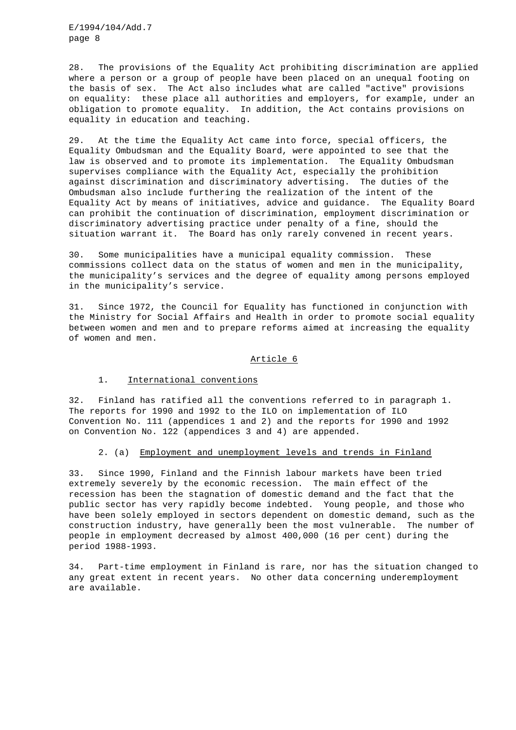28. The provisions of the Equality Act prohibiting discrimination are applied where a person or a group of people have been placed on an unequal footing on the basis of sex. The Act also includes what are called "active" provisions on equality: these place all authorities and employers, for example, under an obligation to promote equality. In addition, the Act contains provisions on equality in education and teaching.

29. At the time the Equality Act came into force, special officers, the Equality Ombudsman and the Equality Board, were appointed to see that the law is observed and to promote its implementation. The Equality Ombudsman supervises compliance with the Equality Act, especially the prohibition against discrimination and discriminatory advertising. The duties of the Ombudsman also include furthering the realization of the intent of the Equality Act by means of initiatives, advice and guidance. The Equality Board can prohibit the continuation of discrimination, employment discrimination or discriminatory advertising practice under penalty of a fine, should the situation warrant it. The Board has only rarely convened in recent years.

30. Some municipalities have a municipal equality commission. These commissions collect data on the status of women and men in the municipality, the municipality's services and the degree of equality among persons employed in the municipality's service.

31. Since 1972, the Council for Equality has functioned in conjunction with the Ministry for Social Affairs and Health in order to promote social equality between women and men and to prepare reforms aimed at increasing the equality of women and men.

### Article 6

### 1. International conventions

32. Finland has ratified all the conventions referred to in paragraph 1. The reports for 1990 and 1992 to the ILO on implementation of ILO Convention No. 111 (appendices 1 and 2) and the reports for 1990 and 1992 on Convention No. 122 (appendices 3 and 4) are appended.

#### 2. (a) Employment and unemployment levels and trends in Finland

33. Since 1990, Finland and the Finnish labour markets have been tried extremely severely by the economic recession. The main effect of the recession has been the stagnation of domestic demand and the fact that the public sector has very rapidly become indebted. Young people, and those who have been solely employed in sectors dependent on domestic demand, such as the construction industry, have generally been the most vulnerable. The number of people in employment decreased by almost 400,000 (16 per cent) during the period 1988-1993.

34. Part-time employment in Finland is rare, nor has the situation changed to any great extent in recent years. No other data concerning underemployment are available.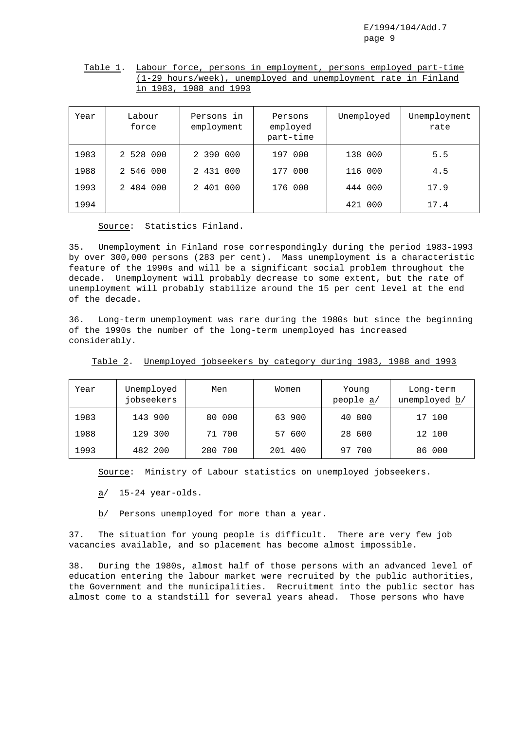| Table 1. Labour force, persons in employment, persons employed part-time |
|--------------------------------------------------------------------------|
| (1-29 hours/week), unemployed and unemployment rate in Finland           |
| in 1983, 1988 and 1993                                                   |

| Year | Labour<br>force | Persons in<br>employment | Persons<br>employed<br>part-time | Unemployed | Unemployment<br>rate |
|------|-----------------|--------------------------|----------------------------------|------------|----------------------|
| 1983 | 2 528 000       | 2 390 000                | 000<br>197                       | 138 000    | 5.5                  |
| 1988 | 2 546 000       | 2 431 000                | 000<br>177                       | 116 000    | 4.5                  |
| 1993 | 2 484 000       | 2 401 000                | 176 000                          | 444 000    | 17.9                 |
| 1994 |                 |                          |                                  | 421 000    | 17.4                 |

Source: Statistics Finland.

35. Unemployment in Finland rose correspondingly during the period 1983-1993 by over 300,000 persons (283 per cent). Mass unemployment is a characteristic feature of the 1990s and will be a significant social problem throughout the decade. Unemployment will probably decrease to some extent, but the rate of unemployment will probably stabilize around the 15 per cent level at the end of the decade.

36. Long-term unemployment was rare during the 1980s but since the beginning of the 1990s the number of the long-term unemployed has increased considerably.

| Year | Unemployed<br>jobseekers | Men     | Women   | Young<br>people a/ | Long-term<br>unemployed b/ |
|------|--------------------------|---------|---------|--------------------|----------------------------|
| 1983 | 143 900                  | 80 000  | 63 900  | 40 800             | 17 100                     |
| 1988 | 129 300                  | 71 700  | 57 600  | 28 600             | 12 100                     |
| 1993 | 482 200                  | 280 700 | 201 400 | 700<br>97          | 86 000                     |

Table 2. Unemployed jobseekers by category during 1983, 1988 and 1993

Source: Ministry of Labour statistics on unemployed jobseekers.

a/ 15-24 year-olds.

b/ Persons unemployed for more than a year.

37. The situation for young people is difficult. There are very few job vacancies available, and so placement has become almost impossible.

38. During the 1980s, almost half of those persons with an advanced level of education entering the labour market were recruited by the public authorities, the Government and the municipalities. Recruitment into the public sector has almost come to a standstill for several years ahead. Those persons who have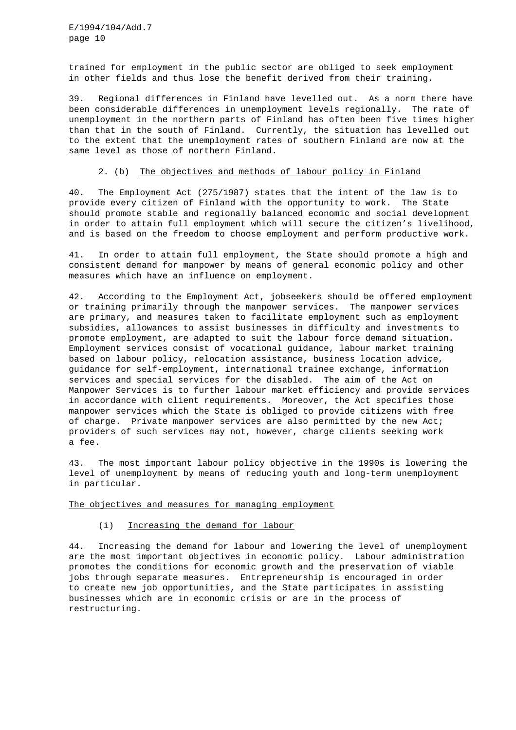trained for employment in the public sector are obliged to seek employment in other fields and thus lose the benefit derived from their training.

39. Regional differences in Finland have levelled out. As a norm there have been considerable differences in unemployment levels regionally. The rate of unemployment in the northern parts of Finland has often been five times higher than that in the south of Finland. Currently, the situation has levelled out to the extent that the unemployment rates of southern Finland are now at the same level as those of northern Finland.

### 2. (b) The objectives and methods of labour policy in Finland

40. The Employment Act (275/1987) states that the intent of the law is to provide every citizen of Finland with the opportunity to work. The State should promote stable and regionally balanced economic and social development in order to attain full employment which will secure the citizen's livelihood, and is based on the freedom to choose employment and perform productive work.

41. In order to attain full employment, the State should promote a high and consistent demand for manpower by means of general economic policy and other measures which have an influence on employment.

42. According to the Employment Act, jobseekers should be offered employment or training primarily through the manpower services. The manpower services are primary, and measures taken to facilitate employment such as employment subsidies, allowances to assist businesses in difficulty and investments to promote employment, are adapted to suit the labour force demand situation. Employment services consist of vocational guidance, labour market training based on labour policy, relocation assistance, business location advice, guidance for self-employment, international trainee exchange, information services and special services for the disabled. The aim of the Act on Manpower Services is to further labour market efficiency and provide services in accordance with client requirements. Moreover, the Act specifies those manpower services which the State is obliged to provide citizens with free of charge. Private manpower services are also permitted by the new Act; providers of such services may not, however, charge clients seeking work a fee.

43. The most important labour policy objective in the 1990s is lowering the level of unemployment by means of reducing youth and long-term unemployment in particular.

The objectives and measures for managing employment

### (i) Increasing the demand for labour

44. Increasing the demand for labour and lowering the level of unemployment are the most important objectives in economic policy. Labour administration promotes the conditions for economic growth and the preservation of viable jobs through separate measures. Entrepreneurship is encouraged in order to create new job opportunities, and the State participates in assisting businesses which are in economic crisis or are in the process of restructuring.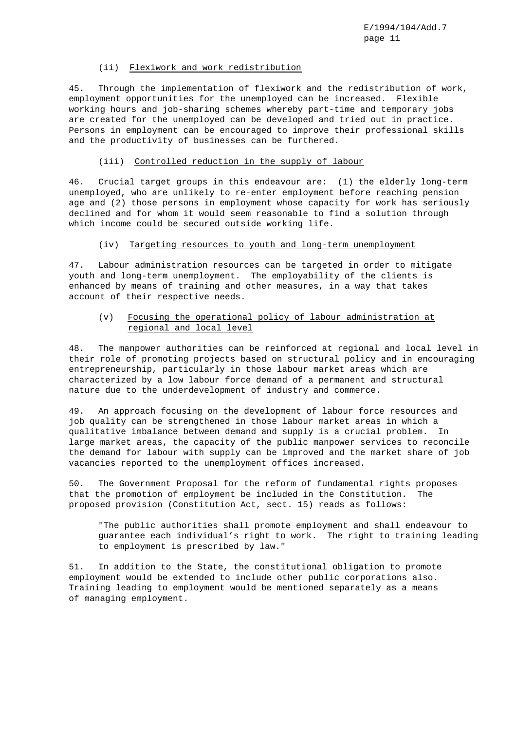# (ii) Flexiwork and work redistribution

45. Through the implementation of flexiwork and the redistribution of work, employment opportunities for the unemployed can be increased. Flexible working hours and job-sharing schemes whereby part-time and temporary jobs are created for the unemployed can be developed and tried out in practice. Persons in employment can be encouraged to improve their professional skills and the productivity of businesses can be furthered.

### (iii) Controlled reduction in the supply of labour

46. Crucial target groups in this endeavour are: (1) the elderly long-term unemployed, who are unlikely to re-enter employment before reaching pension age and (2) those persons in employment whose capacity for work has seriously declined and for whom it would seem reasonable to find a solution through which income could be secured outside working life.

### (iv) Targeting resources to youth and long-term unemployment

47. Labour administration resources can be targeted in order to mitigate youth and long-term unemployment. The employability of the clients is enhanced by means of training and other measures, in a way that takes account of their respective needs.

# (v) Focusing the operational policy of labour administration at regional and local level

48. The manpower authorities can be reinforced at regional and local level in their role of promoting projects based on structural policy and in encouraging entrepreneurship, particularly in those labour market areas which are characterized by a low labour force demand of a permanent and structural nature due to the underdevelopment of industry and commerce.

49. An approach focusing on the development of labour force resources and job quality can be strengthened in those labour market areas in which a qualitative imbalance between demand and supply is a crucial problem. In large market areas, the capacity of the public manpower services to reconcile the demand for labour with supply can be improved and the market share of job vacancies reported to the unemployment offices increased.

50. The Government Proposal for the reform of fundamental rights proposes that the promotion of employment be included in the Constitution. The proposed provision (Constitution Act, sect. 15) reads as follows:

"The public authorities shall promote employment and shall endeavour to guarantee each individual's right to work. The right to training leading to employment is prescribed by law."

51. In addition to the State, the constitutional obligation to promote employment would be extended to include other public corporations also. Training leading to employment would be mentioned separately as a means of managing employment.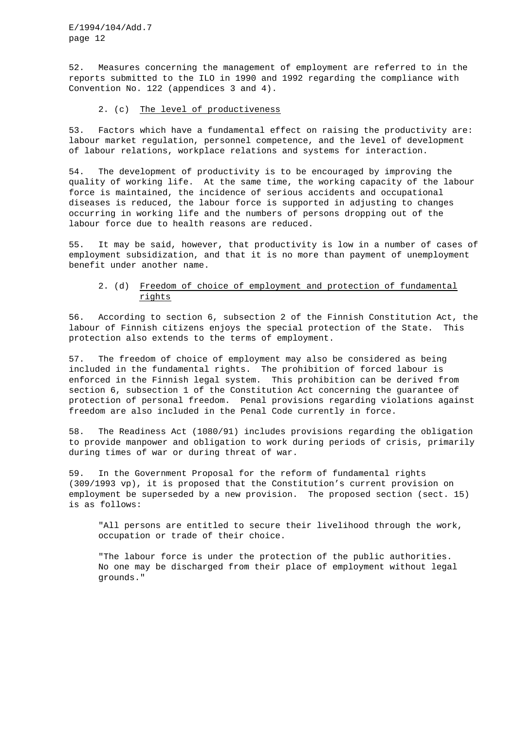52. Measures concerning the management of employment are referred to in the reports submitted to the ILO in 1990 and 1992 regarding the compliance with Convention No. 122 (appendices 3 and 4).

### 2. (c) The level of productiveness

53. Factors which have a fundamental effect on raising the productivity are: labour market regulation, personnel competence, and the level of development of labour relations, workplace relations and systems for interaction.

54. The development of productivity is to be encouraged by improving the quality of working life. At the same time, the working capacity of the labour force is maintained, the incidence of serious accidents and occupational diseases is reduced, the labour force is supported in adjusting to changes occurring in working life and the numbers of persons dropping out of the labour force due to health reasons are reduced.

55. It may be said, however, that productivity is low in a number of cases of employment subsidization, and that it is no more than payment of unemployment benefit under another name.

# 2. (d) Freedom of choice of employment and protection of fundamental rights

56. According to section 6, subsection 2 of the Finnish Constitution Act, the labour of Finnish citizens enjoys the special protection of the State. This protection also extends to the terms of employment.

57. The freedom of choice of employment may also be considered as being included in the fundamental rights. The prohibition of forced labour is enforced in the Finnish legal system. This prohibition can be derived from section 6, subsection 1 of the Constitution Act concerning the guarantee of protection of personal freedom. Penal provisions regarding violations against freedom are also included in the Penal Code currently in force.

58. The Readiness Act (1080/91) includes provisions regarding the obligation to provide manpower and obligation to work during periods of crisis, primarily during times of war or during threat of war.

59. In the Government Proposal for the reform of fundamental rights (309/1993 vp), it is proposed that the Constitution's current provision on employment be superseded by a new provision. The proposed section (sect. 15) is as follows:

"All persons are entitled to secure their livelihood through the work, occupation or trade of their choice.

"The labour force is under the protection of the public authorities. No one may be discharged from their place of employment without legal grounds."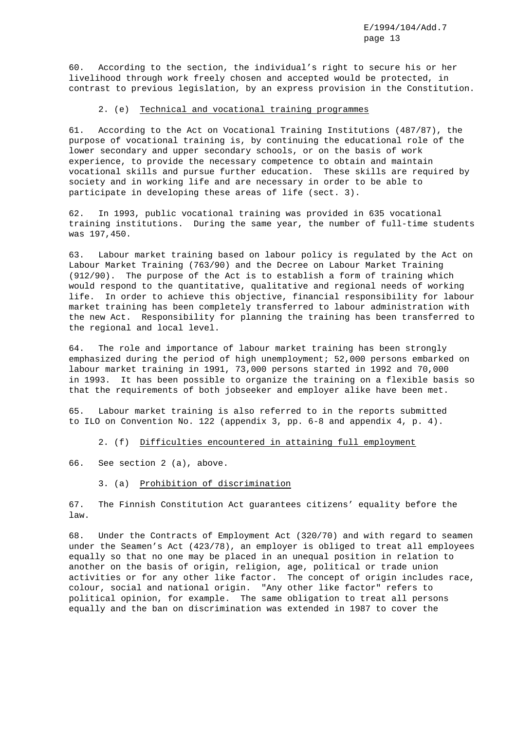60. According to the section, the individual's right to secure his or her livelihood through work freely chosen and accepted would be protected, in contrast to previous legislation, by an express provision in the Constitution.

### 2. (e) Technical and vocational training programmes

61. According to the Act on Vocational Training Institutions (487/87), the purpose of vocational training is, by continuing the educational role of the lower secondary and upper secondary schools, or on the basis of work experience, to provide the necessary competence to obtain and maintain vocational skills and pursue further education. These skills are required by society and in working life and are necessary in order to be able to participate in developing these areas of life (sect. 3).

62. In 1993, public vocational training was provided in 635 vocational training institutions. During the same year, the number of full-time students was 197,450.

63. Labour market training based on labour policy is regulated by the Act on Labour Market Training (763/90) and the Decree on Labour Market Training (912/90). The purpose of the Act is to establish a form of training which would respond to the quantitative, qualitative and regional needs of working life. In order to achieve this objective, financial responsibility for labour market training has been completely transferred to labour administration with the new Act. Responsibility for planning the training has been transferred to the regional and local level.

64. The role and importance of labour market training has been strongly emphasized during the period of high unemployment; 52,000 persons embarked on labour market training in 1991, 73,000 persons started in 1992 and 70,000 in 1993. It has been possible to organize the training on a flexible basis so that the requirements of both jobseeker and employer alike have been met.

65. Labour market training is also referred to in the reports submitted to ILO on Convention No. 122 (appendix 3, pp. 6-8 and appendix 4, p. 4).

2. (f) Difficulties encountered in attaining full employment

66. See section 2 (a), above.

3. (a) Prohibition of discrimination

67. The Finnish Constitution Act guarantees citizens' equality before the law.

68. Under the Contracts of Employment Act (320/70) and with regard to seamen under the Seamen's Act (423/78), an employer is obliged to treat all employees equally so that no one may be placed in an unequal position in relation to another on the basis of origin, religion, age, political or trade union activities or for any other like factor. The concept of origin includes race, colour, social and national origin. "Any other like factor" refers to political opinion, for example. The same obligation to treat all persons equally and the ban on discrimination was extended in 1987 to cover the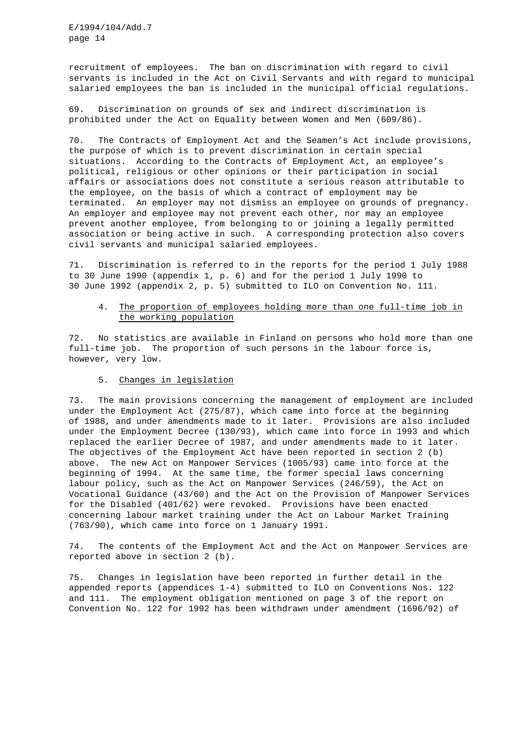recruitment of employees. The ban on discrimination with regard to civil servants is included in the Act on Civil Servants and with regard to municipal salaried employees the ban is included in the municipal official regulations.

69. Discrimination on grounds of sex and indirect discrimination is prohibited under the Act on Equality between Women and Men (609/86).

70. The Contracts of Employment Act and the Seamen's Act include provisions, the purpose of which is to prevent discrimination in certain special situations. According to the Contracts of Employment Act, an employee's political, religious or other opinions or their participation in social affairs or associations does not constitute a serious reason attributable to the employee, on the basis of which a contract of employment may be terminated. An employer may not dismiss an employee on grounds of pregnancy. An employer and employee may not prevent each other, nor may an employee prevent another employee, from belonging to or joining a legally permitted association or being active in such. A corresponding protection also covers civil servants and municipal salaried employees.

71. Discrimination is referred to in the reports for the period 1 July 1988 to 30 June 1990 (appendix 1, p. 6) and for the period 1 July 1990 to 30 June 1992 (appendix 2, p. 5) submitted to ILO on Convention No. 111.

# 4. The proportion of employees holding more than one full-time job in the working population

72. No statistics are available in Finland on persons who hold more than one full-time job. The proportion of such persons in the labour force is, however, very low.

### 5. Changes in legislation

73. The main provisions concerning the management of employment are included under the Employment Act (275/87), which came into force at the beginning of 1988, and under amendments made to it later. Provisions are also included under the Employment Decree (130/93), which came into force in 1993 and which replaced the earlier Decree of 1987, and under amendments made to it later. The objectives of the Employment Act have been reported in section 2 (b) above. The new Act on Manpower Services (1005/93) came into force at the beginning of 1994. At the same time, the former special laws concerning labour policy, such as the Act on Manpower Services (246/59), the Act on Vocational Guidance (43/60) and the Act on the Provision of Manpower Services for the Disabled (401/62) were revoked. Provisions have been enacted concerning labour market training under the Act on Labour Market Training (763/90), which came into force on 1 January 1991.

74. The contents of the Employment Act and the Act on Manpower Services are reported above in section 2 (b).

75. Changes in legislation have been reported in further detail in the appended reports (appendices 1-4) submitted to ILO on Conventions Nos. 122 and 111. The employment obligation mentioned on page 3 of the report on Convention No. 122 for 1992 has been withdrawn under amendment (1696/92) of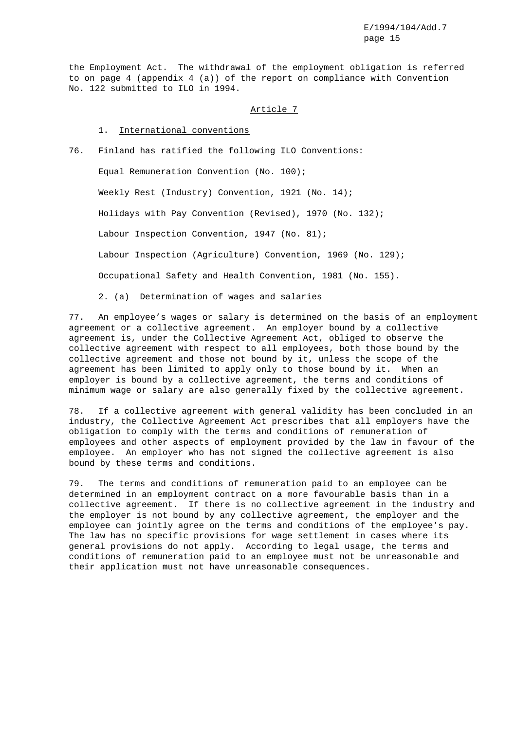the Employment Act. The withdrawal of the employment obligation is referred to on page 4 (appendix 4 (a)) of the report on compliance with Convention No. 122 submitted to ILO in 1994.

### Article 7

# 1. International conventions

76. Finland has ratified the following ILO Conventions: Equal Remuneration Convention (No. 100); Weekly Rest (Industry) Convention, 1921 (No. 14); Holidays with Pay Convention (Revised), 1970 (No. 132); Labour Inspection Convention, 1947 (No. 81); Labour Inspection (Agriculture) Convention, 1969 (No. 129); Occupational Safety and Health Convention, 1981 (No. 155).

### 2. (a) Determination of wages and salaries

77. An employee's wages or salary is determined on the basis of an employment agreement or a collective agreement. An employer bound by a collective agreement is, under the Collective Agreement Act, obliged to observe the collective agreement with respect to all employees, both those bound by the collective agreement and those not bound by it, unless the scope of the agreement has been limited to apply only to those bound by it. When an employer is bound by a collective agreement, the terms and conditions of minimum wage or salary are also generally fixed by the collective agreement.

78. If a collective agreement with general validity has been concluded in an industry, the Collective Agreement Act prescribes that all employers have the obligation to comply with the terms and conditions of remuneration of employees and other aspects of employment provided by the law in favour of the employee. An employer who has not signed the collective agreement is also bound by these terms and conditions.

79. The terms and conditions of remuneration paid to an employee can be determined in an employment contract on a more favourable basis than in a collective agreement. If there is no collective agreement in the industry and the employer is not bound by any collective agreement, the employer and the employee can jointly agree on the terms and conditions of the employee's pay. The law has no specific provisions for wage settlement in cases where its general provisions do not apply. According to legal usage, the terms and conditions of remuneration paid to an employee must not be unreasonable and their application must not have unreasonable consequences.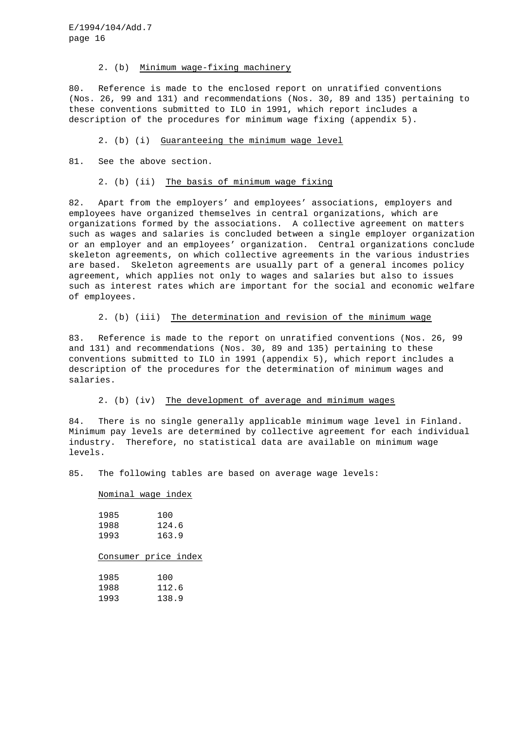#### 2. (b) Minimum wage-fixing machinery

80. Reference is made to the enclosed report on unratified conventions (Nos. 26, 99 and 131) and recommendations (Nos. 30, 89 and 135) pertaining to these conventions submitted to ILO in 1991, which report includes a description of the procedures for minimum wage fixing (appendix 5).

### 2. (b) (i) Guaranteeing the minimum wage level

81. See the above section.

#### 2. (b) (ii) The basis of minimum wage fixing

82. Apart from the employers' and employees' associations, employers and employees have organized themselves in central organizations, which are organizations formed by the associations. A collective agreement on matters such as wages and salaries is concluded between a single employer organization or an employer and an employees' organization. Central organizations conclude skeleton agreements, on which collective agreements in the various industries are based. Skeleton agreements are usually part of a general incomes policy agreement, which applies not only to wages and salaries but also to issues such as interest rates which are important for the social and economic welfare of employees.

### 2. (b) (iii) The determination and revision of the minimum wage

83. Reference is made to the report on unratified conventions (Nos. 26, 99 and 131) and recommendations (Nos. 30, 89 and 135) pertaining to these conventions submitted to ILO in 1991 (appendix 5), which report includes a description of the procedures for the determination of minimum wages and salaries.

#### 2. (b) (iv) The development of average and minimum wages

84. There is no single generally applicable minimum wage level in Finland. Minimum pay levels are determined by collective agreement for each individual industry. Therefore, no statistical data are available on minimum wage levels.

85. The following tables are based on average wage levels:

#### Nominal wage index

| 1985 | 100   |
|------|-------|
| 1988 | 124.6 |
| 1993 | 163.9 |

### Consumer price index

| 1985 | 100   |
|------|-------|
| 1988 | 112.6 |
| 1993 | 138.9 |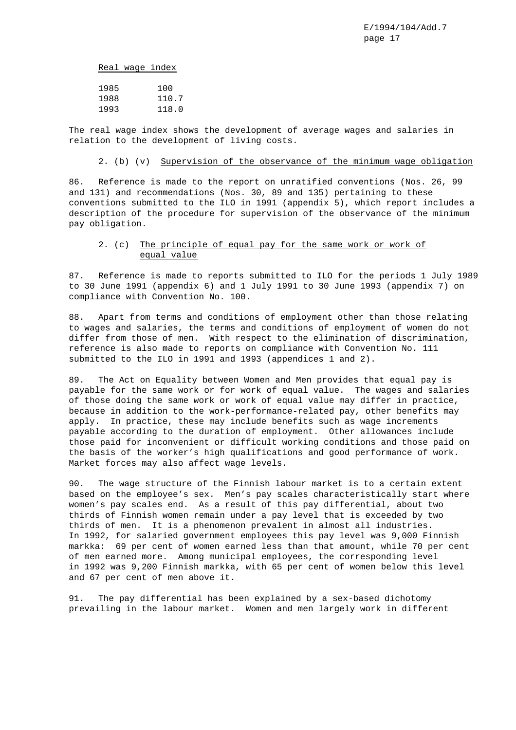Real wage index

| 1985 | 100   |
|------|-------|
| 1988 | 110.7 |
| 1993 | 118.0 |

The real wage index shows the development of average wages and salaries in relation to the development of living costs.

### 2. (b) (v) Supervision of the observance of the minimum wage obligation

86. Reference is made to the report on unratified conventions (Nos. 26, 99 and 131) and recommendations (Nos. 30, 89 and 135) pertaining to these conventions submitted to the ILO in 1991 (appendix 5), which report includes a description of the procedure for supervision of the observance of the minimum pay obligation.

# 2. (c) The principle of equal pay for the same work or work of equal value

87. Reference is made to reports submitted to ILO for the periods 1 July 1989 to 30 June 1991 (appendix 6) and 1 July 1991 to 30 June 1993 (appendix 7) on compliance with Convention No. 100.

88. Apart from terms and conditions of employment other than those relating to wages and salaries, the terms and conditions of employment of women do not differ from those of men. With respect to the elimination of discrimination, reference is also made to reports on compliance with Convention No. 111 submitted to the ILO in 1991 and 1993 (appendices 1 and 2).

89. The Act on Equality between Women and Men provides that equal pay is payable for the same work or for work of equal value. The wages and salaries of those doing the same work or work of equal value may differ in practice, because in addition to the work-performance-related pay, other benefits may apply. In practice, these may include benefits such as wage increments payable according to the duration of employment. Other allowances include those paid for inconvenient or difficult working conditions and those paid on the basis of the worker's high qualifications and good performance of work. Market forces may also affect wage levels.

90. The wage structure of the Finnish labour market is to a certain extent based on the employee's sex. Men's pay scales characteristically start where women's pay scales end. As a result of this pay differential, about two thirds of Finnish women remain under a pay level that is exceeded by two thirds of men. It is a phenomenon prevalent in almost all industries. In 1992, for salaried government employees this pay level was 9,000 Finnish markka: 69 per cent of women earned less than that amount, while 70 per cent of men earned more. Among municipal employees, the corresponding level in 1992 was 9,200 Finnish markka, with 65 per cent of women below this level and 67 per cent of men above it.

91. The pay differential has been explained by a sex-based dichotomy prevailing in the labour market. Women and men largely work in different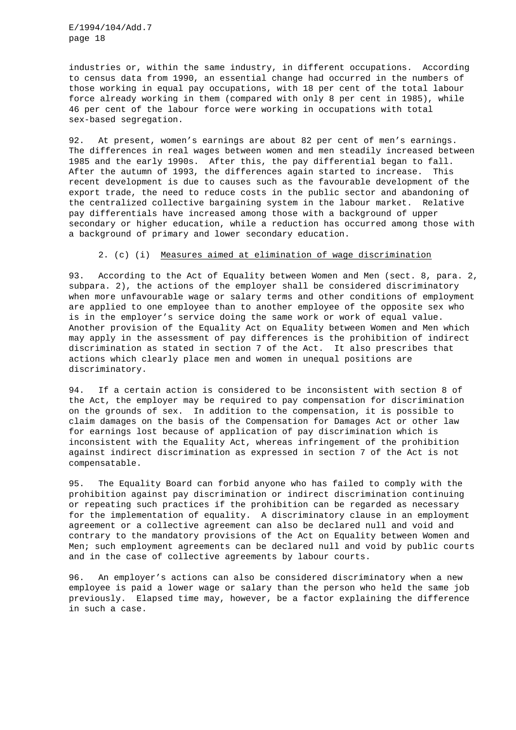industries or, within the same industry, in different occupations. According to census data from 1990, an essential change had occurred in the numbers of those working in equal pay occupations, with 18 per cent of the total labour force already working in them (compared with only 8 per cent in 1985), while 46 per cent of the labour force were working in occupations with total sex-based segregation.

92. At present, women's earnings are about 82 per cent of men's earnings. The differences in real wages between women and men steadily increased between 1985 and the early 1990s. After this, the pay differential began to fall. After the autumn of 1993, the differences again started to increase. This recent development is due to causes such as the favourable development of the export trade, the need to reduce costs in the public sector and abandoning of the centralized collective bargaining system in the labour market. Relative pay differentials have increased among those with a background of upper secondary or higher education, while a reduction has occurred among those with a background of primary and lower secondary education.

#### 2. (c) (i) Measures aimed at elimination of wage discrimination

93. According to the Act of Equality between Women and Men (sect. 8, para. 2, subpara. 2), the actions of the employer shall be considered discriminatory when more unfavourable wage or salary terms and other conditions of employment are applied to one employee than to another employee of the opposite sex who is in the employer's service doing the same work or work of equal value. Another provision of the Equality Act on Equality between Women and Men which may apply in the assessment of pay differences is the prohibition of indirect discrimination as stated in section 7 of the Act. It also prescribes that actions which clearly place men and women in unequal positions are discriminatory.

94. If a certain action is considered to be inconsistent with section 8 of the Act, the employer may be required to pay compensation for discrimination on the grounds of sex. In addition to the compensation, it is possible to claim damages on the basis of the Compensation for Damages Act or other law for earnings lost because of application of pay discrimination which is inconsistent with the Equality Act, whereas infringement of the prohibition against indirect discrimination as expressed in section 7 of the Act is not compensatable.

95. The Equality Board can forbid anyone who has failed to comply with the prohibition against pay discrimination or indirect discrimination continuing or repeating such practices if the prohibition can be regarded as necessary for the implementation of equality. A discriminatory clause in an employment agreement or a collective agreement can also be declared null and void and contrary to the mandatory provisions of the Act on Equality between Women and Men; such employment agreements can be declared null and void by public courts and in the case of collective agreements by labour courts.

96. An employer's actions can also be considered discriminatory when a new employee is paid a lower wage or salary than the person who held the same job previously. Elapsed time may, however, be a factor explaining the difference in such a case.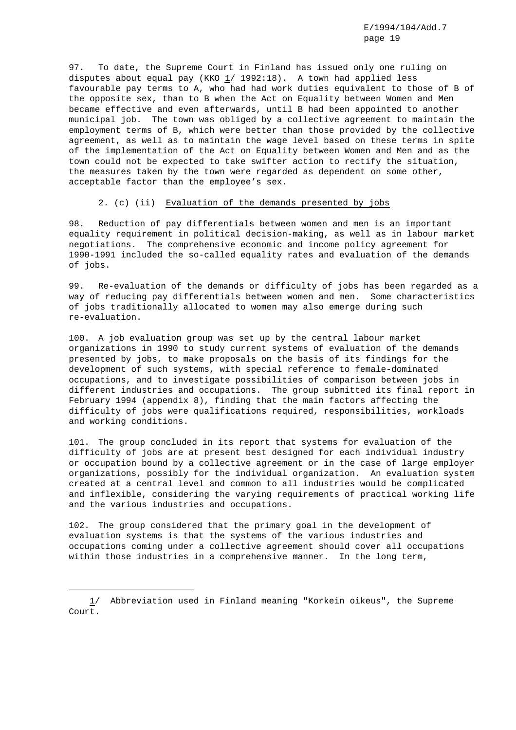97. To date, the Supreme Court in Finland has issued only one ruling on disputes about equal pay (KKO  $1/$  1992:18). A town had applied less favourable pay terms to A, who had had work duties equivalent to those of B of the opposite sex, than to B when the Act on Equality between Women and Men became effective and even afterwards, until B had been appointed to another municipal job. The town was obliged by a collective agreement to maintain the employment terms of B, which were better than those provided by the collective agreement, as well as to maintain the wage level based on these terms in spite of the implementation of the Act on Equality between Women and Men and as the town could not be expected to take swifter action to rectify the situation, the measures taken by the town were regarded as dependent on some other, acceptable factor than the employee's sex.

### 2. (c) (ii) Evaluation of the demands presented by jobs

98. Reduction of pay differentials between women and men is an important equality requirement in political decision-making, as well as in labour market negotiations. The comprehensive economic and income policy agreement for 1990-1991 included the so-called equality rates and evaluation of the demands of jobs.

99. Re-evaluation of the demands or difficulty of jobs has been regarded as a way of reducing pay differentials between women and men. Some characteristics of jobs traditionally allocated to women may also emerge during such re-evaluation.

100. A job evaluation group was set up by the central labour market organizations in 1990 to study current systems of evaluation of the demands presented by jobs, to make proposals on the basis of its findings for the development of such systems, with special reference to female-dominated occupations, and to investigate possibilities of comparison between jobs in different industries and occupations. The group submitted its final report in February 1994 (appendix 8), finding that the main factors affecting the difficulty of jobs were qualifications required, responsibilities, workloads and working conditions.

101. The group concluded in its report that systems for evaluation of the difficulty of jobs are at present best designed for each individual industry or occupation bound by a collective agreement or in the case of large employer organizations, possibly for the individual organization. An evaluation system created at a central level and common to all industries would be complicated and inflexible, considering the varying requirements of practical working life and the various industries and occupations.

102. The group considered that the primary goal in the development of evaluation systems is that the systems of the various industries and occupations coming under a collective agreement should cover all occupations within those industries in a comprehensive manner. In the long term,

<sup>1/</sup> Abbreviation used in Finland meaning "Korkein oikeus", the Supreme Court.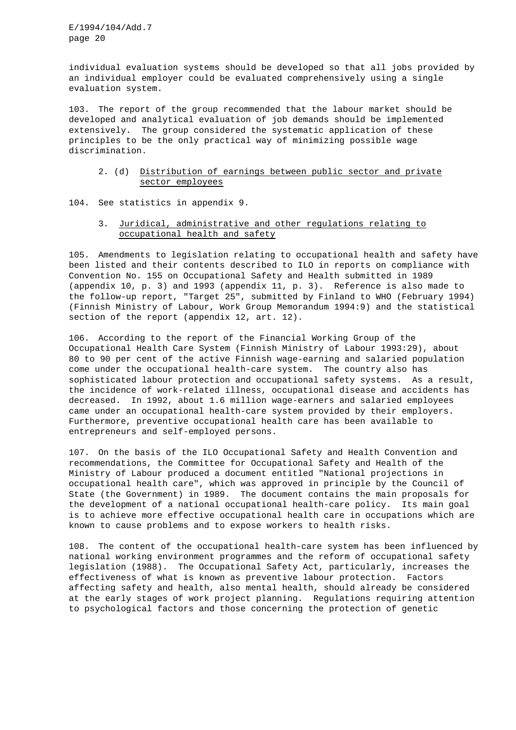individual evaluation systems should be developed so that all jobs provided by an individual employer could be evaluated comprehensively using a single evaluation system.

103. The report of the group recommended that the labour market should be developed and analytical evaluation of job demands should be implemented extensively. The group considered the systematic application of these principles to be the only practical way of minimizing possible wage discrimination.

# 2. (d) Distribution of earnings between public sector and private sector employees

104. See statistics in appendix 9.

# 3. Juridical, administrative and other regulations relating to occupational health and safety

105. Amendments to legislation relating to occupational health and safety have been listed and their contents described to ILO in reports on compliance with Convention No. 155 on Occupational Safety and Health submitted in 1989 (appendix 10, p. 3) and 1993 (appendix 11, p. 3). Reference is also made to the follow-up report, "Target 25", submitted by Finland to WHO (February 1994) (Finnish Ministry of Labour, Work Group Memorandum 1994:9) and the statistical section of the report (appendix 12, art. 12).

106. According to the report of the Financial Working Group of the Occupational Health Care System (Finnish Ministry of Labour 1993:29), about 80 to 90 per cent of the active Finnish wage-earning and salaried population come under the occupational health-care system. The country also has sophisticated labour protection and occupational safety systems. As a result, the incidence of work-related illness, occupational disease and accidents has decreased. In 1992, about 1.6 million wage-earners and salaried employees came under an occupational health-care system provided by their employers. Furthermore, preventive occupational health care has been available to entrepreneurs and self-employed persons.

107. On the basis of the ILO Occupational Safety and Health Convention and recommendations, the Committee for Occupational Safety and Health of the Ministry of Labour produced a document entitled "National projections in occupational health care", which was approved in principle by the Council of State (the Government) in 1989. The document contains the main proposals for the development of a national occupational health-care policy. Its main goal is to achieve more effective occupational health care in occupations which are known to cause problems and to expose workers to health risks.

108. The content of the occupational health-care system has been influenced by national working environment programmes and the reform of occupational safety legislation (1988). The Occupational Safety Act, particularly, increases the effectiveness of what is known as preventive labour protection. Factors affecting safety and health, also mental health, should already be considered at the early stages of work project planning. Regulations requiring attention to psychological factors and those concerning the protection of genetic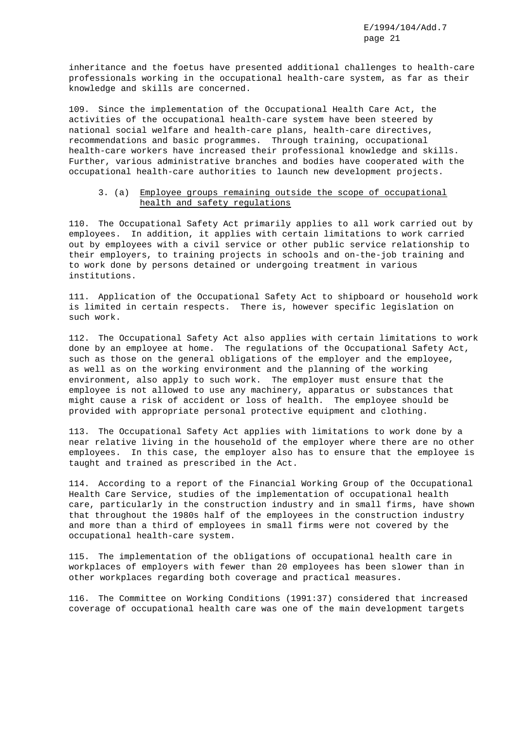inheritance and the foetus have presented additional challenges to health-care professionals working in the occupational health-care system, as far as their knowledge and skills are concerned.

109. Since the implementation of the Occupational Health Care Act, the activities of the occupational health-care system have been steered by national social welfare and health-care plans, health-care directives, recommendations and basic programmes. Through training, occupational health-care workers have increased their professional knowledge and skills. Further, various administrative branches and bodies have cooperated with the occupational health-care authorities to launch new development projects.

# 3. (a) Employee groups remaining outside the scope of occupational health and safety regulations

110. The Occupational Safety Act primarily applies to all work carried out by employees. In addition, it applies with certain limitations to work carried out by employees with a civil service or other public service relationship to their employers, to training projects in schools and on-the-job training and to work done by persons detained or undergoing treatment in various institutions.

111. Application of the Occupational Safety Act to shipboard or household work is limited in certain respects. There is, however specific legislation on such work.

112. The Occupational Safety Act also applies with certain limitations to work done by an employee at home. The regulations of the Occupational Safety Act, such as those on the general obligations of the employer and the employee, as well as on the working environment and the planning of the working environment, also apply to such work. The employer must ensure that the employee is not allowed to use any machinery, apparatus or substances that might cause a risk of accident or loss of health. The employee should be provided with appropriate personal protective equipment and clothing.

113. The Occupational Safety Act applies with limitations to work done by a near relative living in the household of the employer where there are no other employees. In this case, the employer also has to ensure that the employee is taught and trained as prescribed in the Act.

114. According to a report of the Financial Working Group of the Occupational Health Care Service, studies of the implementation of occupational health care, particularly in the construction industry and in small firms, have shown that throughout the 1980s half of the employees in the construction industry and more than a third of employees in small firms were not covered by the occupational health-care system.

115. The implementation of the obligations of occupational health care in workplaces of employers with fewer than 20 employees has been slower than in other workplaces regarding both coverage and practical measures.

116. The Committee on Working Conditions (1991:37) considered that increased coverage of occupational health care was one of the main development targets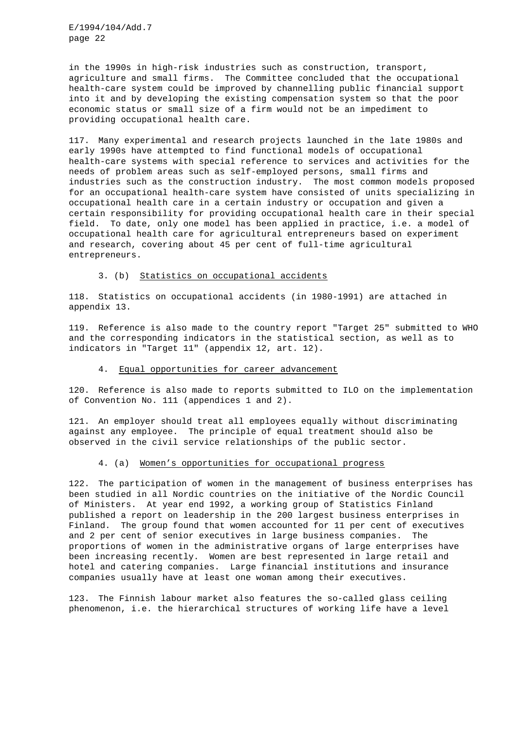in the 1990s in high-risk industries such as construction, transport, agriculture and small firms. The Committee concluded that the occupational health-care system could be improved by channelling public financial support into it and by developing the existing compensation system so that the poor economic status or small size of a firm would not be an impediment to providing occupational health care.

117. Many experimental and research projects launched in the late 1980s and early 1990s have attempted to find functional models of occupational health-care systems with special reference to services and activities for the needs of problem areas such as self-employed persons, small firms and industries such as the construction industry. The most common models proposed for an occupational health-care system have consisted of units specializing in occupational health care in a certain industry or occupation and given a certain responsibility for providing occupational health care in their special field. To date, only one model has been applied in practice, i.e. a model of occupational health care for agricultural entrepreneurs based on experiment and research, covering about 45 per cent of full-time agricultural entrepreneurs.

### 3. (b) Statistics on occupational accidents

118. Statistics on occupational accidents (in 1980-1991) are attached in appendix 13.

119. Reference is also made to the country report "Target 25" submitted to WHO and the corresponding indicators in the statistical section, as well as to indicators in "Target 11" (appendix 12, art. 12).

### 4. Equal opportunities for career advancement

120. Reference is also made to reports submitted to ILO on the implementation of Convention No. 111 (appendices 1 and 2).

121. An employer should treat all employees equally without discriminating against any employee. The principle of equal treatment should also be observed in the civil service relationships of the public sector.

#### 4. (a) Women's opportunities for occupational progress

122. The participation of women in the management of business enterprises has been studied in all Nordic countries on the initiative of the Nordic Council of Ministers. At year end 1992, a working group of Statistics Finland published a report on leadership in the 200 largest business enterprises in Finland. The group found that women accounted for 11 per cent of executives and 2 per cent of senior executives in large business companies. The proportions of women in the administrative organs of large enterprises have been increasing recently. Women are best represented in large retail and hotel and catering companies. Large financial institutions and insurance companies usually have at least one woman among their executives.

123. The Finnish labour market also features the so-called glass ceiling phenomenon, i.e. the hierarchical structures of working life have a level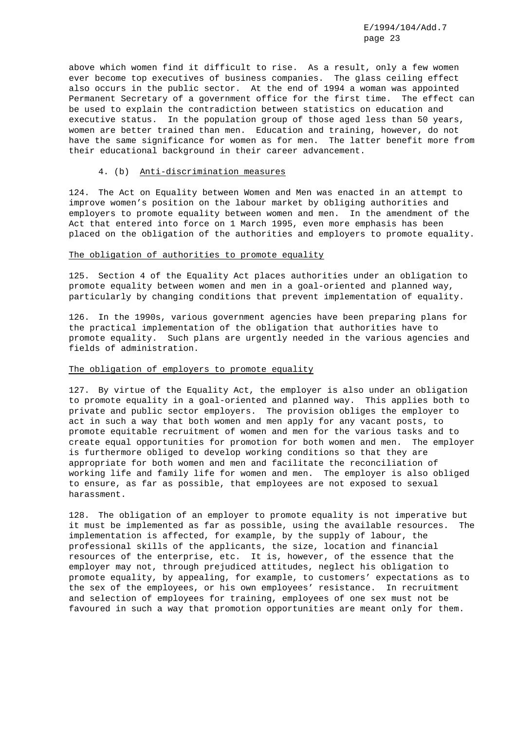above which women find it difficult to rise. As a result, only a few women ever become top executives of business companies. The glass ceiling effect also occurs in the public sector. At the end of 1994 a woman was appointed Permanent Secretary of a government office for the first time. The effect can be used to explain the contradiction between statistics on education and executive status. In the population group of those aged less than 50 years, women are better trained than men. Education and training, however, do not have the same significance for women as for men. The latter benefit more from their educational background in their career advancement.

#### 4. (b) Anti-discrimination measures

124. The Act on Equality between Women and Men was enacted in an attempt to improve women's position on the labour market by obliging authorities and employers to promote equality between women and men. In the amendment of the Act that entered into force on 1 March 1995, even more emphasis has been placed on the obligation of the authorities and employers to promote equality.

#### The obligation of authorities to promote equality

125. Section 4 of the Equality Act places authorities under an obligation to promote equality between women and men in a goal-oriented and planned way, particularly by changing conditions that prevent implementation of equality.

126. In the 1990s, various government agencies have been preparing plans for the practical implementation of the obligation that authorities have to promote equality. Such plans are urgently needed in the various agencies and fields of administration.

### The obligation of employers to promote equality

127. By virtue of the Equality Act, the employer is also under an obligation to promote equality in a goal-oriented and planned way. This applies both to private and public sector employers. The provision obliges the employer to act in such a way that both women and men apply for any vacant posts, to promote equitable recruitment of women and men for the various tasks and to create equal opportunities for promotion for both women and men. The employer is furthermore obliged to develop working conditions so that they are appropriate for both women and men and facilitate the reconciliation of working life and family life for women and men. The employer is also obliged to ensure, as far as possible, that employees are not exposed to sexual harassment.

128. The obligation of an employer to promote equality is not imperative but it must be implemented as far as possible, using the available resources. The implementation is affected, for example, by the supply of labour, the professional skills of the applicants, the size, location and financial resources of the enterprise, etc. It is, however, of the essence that the employer may not, through prejudiced attitudes, neglect his obligation to promote equality, by appealing, for example, to customers' expectations as to the sex of the employees, or his own employees' resistance. In recruitment and selection of employees for training, employees of one sex must not be favoured in such a way that promotion opportunities are meant only for them.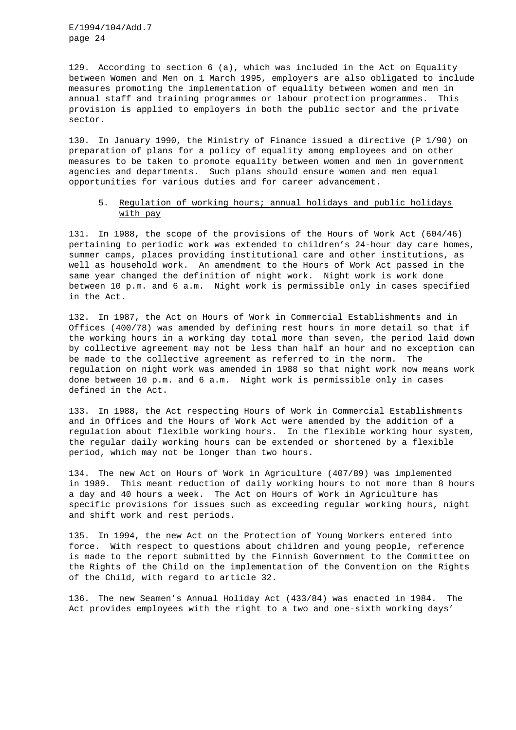129. According to section 6 (a), which was included in the Act on Equality between Women and Men on 1 March 1995, employers are also obligated to include measures promoting the implementation of equality between women and men in annual staff and training programmes or labour protection programmes. This provision is applied to employers in both the public sector and the private sector.

130. In January 1990, the Ministry of Finance issued a directive (P 1/90) on preparation of plans for a policy of equality among employees and on other measures to be taken to promote equality between women and men in government agencies and departments. Such plans should ensure women and men equal opportunities for various duties and for career advancement.

# 5. Regulation of working hours; annual holidays and public holidays with pay

131. In 1988, the scope of the provisions of the Hours of Work Act (604/46) pertaining to periodic work was extended to children's 24-hour day care homes, summer camps, places providing institutional care and other institutions, as well as household work. An amendment to the Hours of Work Act passed in the same year changed the definition of night work. Night work is work done between 10 p.m. and 6 a.m. Night work is permissible only in cases specified in the Act.

132. In 1987, the Act on Hours of Work in Commercial Establishments and in Offices (400/78) was amended by defining rest hours in more detail so that if the working hours in a working day total more than seven, the period laid down by collective agreement may not be less than half an hour and no exception can be made to the collective agreement as referred to in the norm. The regulation on night work was amended in 1988 so that night work now means work done between 10 p.m. and 6 a.m. Night work is permissible only in cases defined in the Act.

133. In 1988, the Act respecting Hours of Work in Commercial Establishments and in Offices and the Hours of Work Act were amended by the addition of a regulation about flexible working hours. In the flexible working hour system, the regular daily working hours can be extended or shortened by a flexible period, which may not be longer than two hours.

134. The new Act on Hours of Work in Agriculture (407/89) was implemented in 1989. This meant reduction of daily working hours to not more than 8 hours a day and 40 hours a week. The Act on Hours of Work in Agriculture has specific provisions for issues such as exceeding regular working hours, night and shift work and rest periods.

135. In 1994, the new Act on the Protection of Young Workers entered into force. With respect to questions about children and young people, reference is made to the report submitted by the Finnish Government to the Committee on the Rights of the Child on the implementation of the Convention on the Rights of the Child, with regard to article 32.

136. The new Seamen's Annual Holiday Act (433/84) was enacted in 1984. The Act provides employees with the right to a two and one-sixth working days'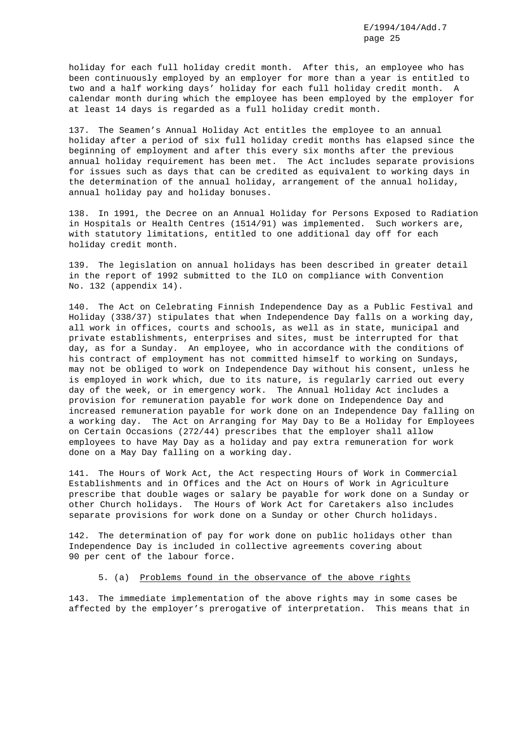holiday for each full holiday credit month. After this, an employee who has been continuously employed by an employer for more than a year is entitled to two and a half working days' holiday for each full holiday credit month. A calendar month during which the employee has been employed by the employer for at least 14 days is regarded as a full holiday credit month.

137. The Seamen's Annual Holiday Act entitles the employee to an annual holiday after a period of six full holiday credit months has elapsed since the beginning of employment and after this every six months after the previous annual holiday requirement has been met. The Act includes separate provisions for issues such as days that can be credited as equivalent to working days in the determination of the annual holiday, arrangement of the annual holiday, annual holiday pay and holiday bonuses.

138. In 1991, the Decree on an Annual Holiday for Persons Exposed to Radiation in Hospitals or Health Centres (1514/91) was implemented. Such workers are, with statutory limitations, entitled to one additional day off for each holiday credit month.

139. The legislation on annual holidays has been described in greater detail in the report of 1992 submitted to the ILO on compliance with Convention No. 132 (appendix 14).

140. The Act on Celebrating Finnish Independence Day as a Public Festival and Holiday (338/37) stipulates that when Independence Day falls on a working day, all work in offices, courts and schools, as well as in state, municipal and private establishments, enterprises and sites, must be interrupted for that day, as for a Sunday. An employee, who in accordance with the conditions of his contract of employment has not committed himself to working on Sundays, may not be obliged to work on Independence Day without his consent, unless he is employed in work which, due to its nature, is regularly carried out every day of the week, or in emergency work. The Annual Holiday Act includes a provision for remuneration payable for work done on Independence Day and increased remuneration payable for work done on an Independence Day falling on a working day. The Act on Arranging for May Day to Be a Holiday for Employees on Certain Occasions (272/44) prescribes that the employer shall allow employees to have May Day as a holiday and pay extra remuneration for work done on a May Day falling on a working day.

141. The Hours of Work Act, the Act respecting Hours of Work in Commercial Establishments and in Offices and the Act on Hours of Work in Agriculture prescribe that double wages or salary be payable for work done on a Sunday or other Church holidays. The Hours of Work Act for Caretakers also includes separate provisions for work done on a Sunday or other Church holidays.

142. The determination of pay for work done on public holidays other than Independence Day is included in collective agreements covering about 90 per cent of the labour force.

### 5. (a) Problems found in the observance of the above rights

143. The immediate implementation of the above rights may in some cases be affected by the employer's prerogative of interpretation. This means that in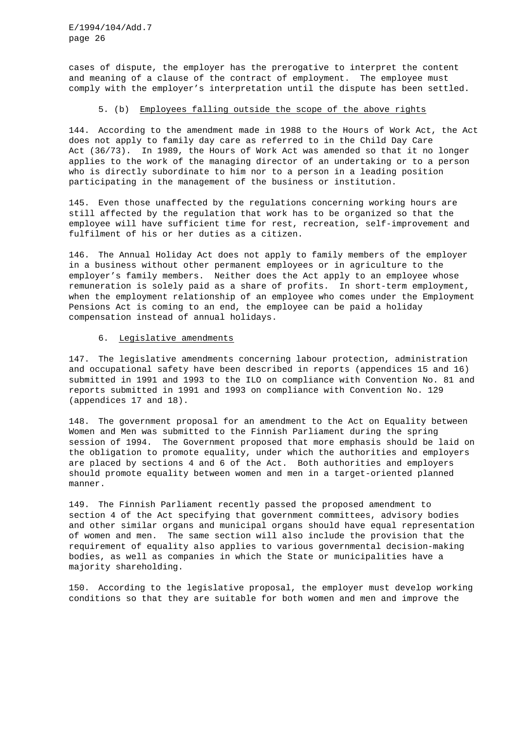cases of dispute, the employer has the prerogative to interpret the content and meaning of a clause of the contract of employment. The employee must comply with the employer's interpretation until the dispute has been settled.

### 5. (b) Employees falling outside the scope of the above rights

144. According to the amendment made in 1988 to the Hours of Work Act, the Act does not apply to family day care as referred to in the Child Day Care Act (36/73). In 1989, the Hours of Work Act was amended so that it no longer applies to the work of the managing director of an undertaking or to a person who is directly subordinate to him nor to a person in a leading position participating in the management of the business or institution.

145. Even those unaffected by the regulations concerning working hours are still affected by the regulation that work has to be organized so that the employee will have sufficient time for rest, recreation, self-improvement and fulfilment of his or her duties as a citizen.

146. The Annual Holiday Act does not apply to family members of the employer in a business without other permanent employees or in agriculture to the employer's family members. Neither does the Act apply to an employee whose remuneration is solely paid as a share of profits. In short-term employment, when the employment relationship of an employee who comes under the Employment Pensions Act is coming to an end, the employee can be paid a holiday compensation instead of annual holidays.

### 6. Legislative amendments

147. The legislative amendments concerning labour protection, administration and occupational safety have been described in reports (appendices 15 and 16) submitted in 1991 and 1993 to the ILO on compliance with Convention No. 81 and reports submitted in 1991 and 1993 on compliance with Convention No. 129 (appendices 17 and 18).

148. The government proposal for an amendment to the Act on Equality between Women and Men was submitted to the Finnish Parliament during the spring session of 1994. The Government proposed that more emphasis should be laid on the obligation to promote equality, under which the authorities and employers are placed by sections 4 and 6 of the Act. Both authorities and employers should promote equality between women and men in a target-oriented planned manner.

149. The Finnish Parliament recently passed the proposed amendment to section 4 of the Act specifying that government committees, advisory bodies and other similar organs and municipal organs should have equal representation of women and men. The same section will also include the provision that the requirement of equality also applies to various governmental decision-making bodies, as well as companies in which the State or municipalities have a majority shareholding.

150. According to the legislative proposal, the employer must develop working conditions so that they are suitable for both women and men and improve the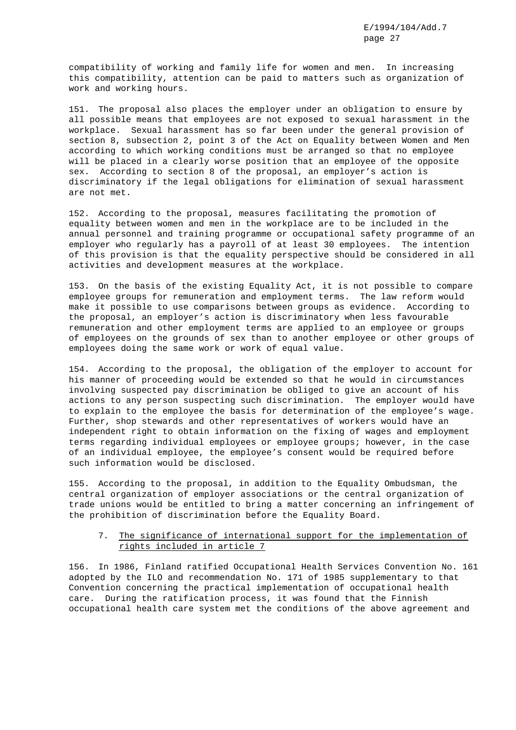compatibility of working and family life for women and men. In increasing this compatibility, attention can be paid to matters such as organization of work and working hours.

151. The proposal also places the employer under an obligation to ensure by all possible means that employees are not exposed to sexual harassment in the workplace. Sexual harassment has so far been under the general provision of section 8, subsection 2, point 3 of the Act on Equality between Women and Men according to which working conditions must be arranged so that no employee will be placed in a clearly worse position that an employee of the opposite sex. According to section 8 of the proposal, an employer's action is discriminatory if the legal obligations for elimination of sexual harassment are not met.

152. According to the proposal, measures facilitating the promotion of equality between women and men in the workplace are to be included in the annual personnel and training programme or occupational safety programme of an employer who regularly has a payroll of at least 30 employees. The intention of this provision is that the equality perspective should be considered in all activities and development measures at the workplace.

153. On the basis of the existing Equality Act, it is not possible to compare employee groups for remuneration and employment terms. The law reform would make it possible to use comparisons between groups as evidence. According to the proposal, an employer's action is discriminatory when less favourable remuneration and other employment terms are applied to an employee or groups of employees on the grounds of sex than to another employee or other groups of employees doing the same work or work of equal value.

154. According to the proposal, the obligation of the employer to account for his manner of proceeding would be extended so that he would in circumstances involving suspected pay discrimination be obliged to give an account of his actions to any person suspecting such discrimination. The employer would have to explain to the employee the basis for determination of the employee's wage. Further, shop stewards and other representatives of workers would have an independent right to obtain information on the fixing of wages and employment terms regarding individual employees or employee groups; however, in the case of an individual employee, the employee's consent would be required before such information would be disclosed.

155. According to the proposal, in addition to the Equality Ombudsman, the central organization of employer associations or the central organization of trade unions would be entitled to bring a matter concerning an infringement of the prohibition of discrimination before the Equality Board.

# 7. The significance of international support for the implementation of rights included in article 7

156. In 1986, Finland ratified Occupational Health Services Convention No. 161 adopted by the ILO and recommendation No. 171 of 1985 supplementary to that Convention concerning the practical implementation of occupational health care. During the ratification process, it was found that the Finnish occupational health care system met the conditions of the above agreement and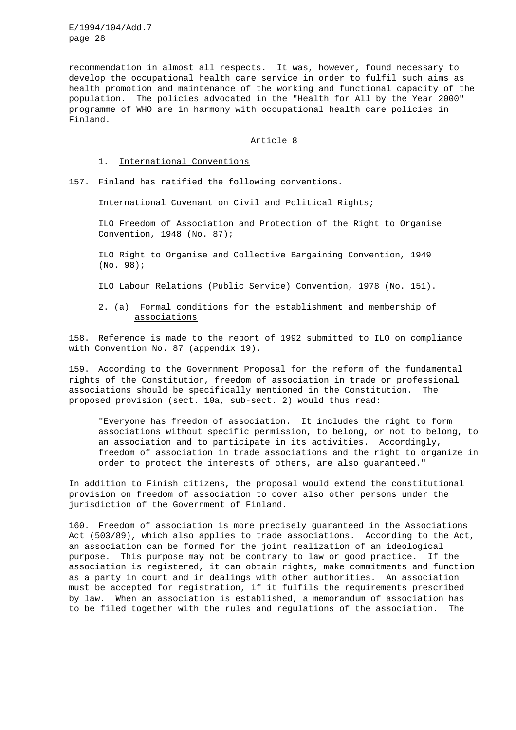recommendation in almost all respects. It was, however, found necessary to develop the occupational health care service in order to fulfil such aims as health promotion and maintenance of the working and functional capacity of the population. The policies advocated in the "Health for All by the Year 2000" programme of WHO are in harmony with occupational health care policies in Finland.

### Article 8

### 1. International Conventions

157. Finland has ratified the following conventions.

International Covenant on Civil and Political Rights;

ILO Freedom of Association and Protection of the Right to Organise Convention, 1948 (No. 87);

ILO Right to Organise and Collective Bargaining Convention, 1949 (No. 98);

ILO Labour Relations (Public Service) Convention, 1978 (No. 151).

# 2. (a) Formal conditions for the establishment and membership of associations

158. Reference is made to the report of 1992 submitted to ILO on compliance with Convention No. 87 (appendix 19).

159. According to the Government Proposal for the reform of the fundamental rights of the Constitution, freedom of association in trade or professional associations should be specifically mentioned in the Constitution. The proposed provision (sect. 10a, sub-sect. 2) would thus read:

"Everyone has freedom of association. It includes the right to form associations without specific permission, to belong, or not to belong, to an association and to participate in its activities. Accordingly, freedom of association in trade associations and the right to organize in order to protect the interests of others, are also guaranteed."

In addition to Finish citizens, the proposal would extend the constitutional provision on freedom of association to cover also other persons under the jurisdiction of the Government of Finland.

160. Freedom of association is more precisely guaranteed in the Associations Act (503/89), which also applies to trade associations. According to the Act, an association can be formed for the joint realization of an ideological purpose. This purpose may not be contrary to law or good practice. If the association is registered, it can obtain rights, make commitments and function as a party in court and in dealings with other authorities. An association must be accepted for registration, if it fulfils the requirements prescribed by law. When an association is established, a memorandum of association has to be filed together with the rules and regulations of the association. The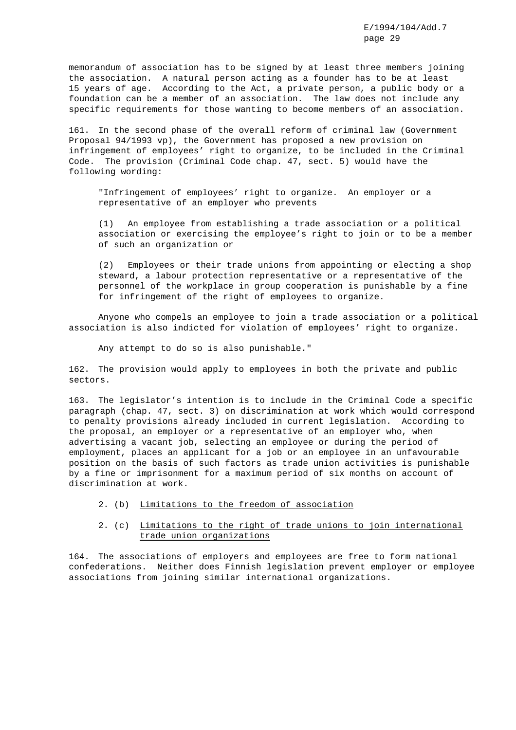memorandum of association has to be signed by at least three members joining the association. A natural person acting as a founder has to be at least 15 years of age. According to the Act, a private person, a public body or a foundation can be a member of an association. The law does not include any specific requirements for those wanting to become members of an association.

161. In the second phase of the overall reform of criminal law (Government Proposal 94/1993 vp), the Government has proposed a new provision on infringement of employees' right to organize, to be included in the Criminal Code. The provision (Criminal Code chap. 47, sect. 5) would have the following wording:

"Infringement of employees' right to organize. An employer or a representative of an employer who prevents

(1) An employee from establishing a trade association or a political association or exercising the employee's right to join or to be a member of such an organization or

(2) Employees or their trade unions from appointing or electing a shop steward, a labour protection representative or a representative of the personnel of the workplace in group cooperation is punishable by a fine for infringement of the right of employees to organize.

Anyone who compels an employee to join a trade association or a political association is also indicted for violation of employees' right to organize.

Any attempt to do so is also punishable."

162. The provision would apply to employees in both the private and public sectors.

163. The legislator's intention is to include in the Criminal Code a specific paragraph (chap. 47, sect. 3) on discrimination at work which would correspond to penalty provisions already included in current legislation. According to the proposal, an employer or a representative of an employer who, when advertising a vacant job, selecting an employee or during the period of employment, places an applicant for a job or an employee in an unfavourable position on the basis of such factors as trade union activities is punishable by a fine or imprisonment for a maximum period of six months on account of discrimination at work.

- 2. (b) Limitations to the freedom of association
- 2. (c) Limitations to the right of trade unions to join international trade union organizations

164. The associations of employers and employees are free to form national confederations. Neither does Finnish legislation prevent employer or employee associations from joining similar international organizations.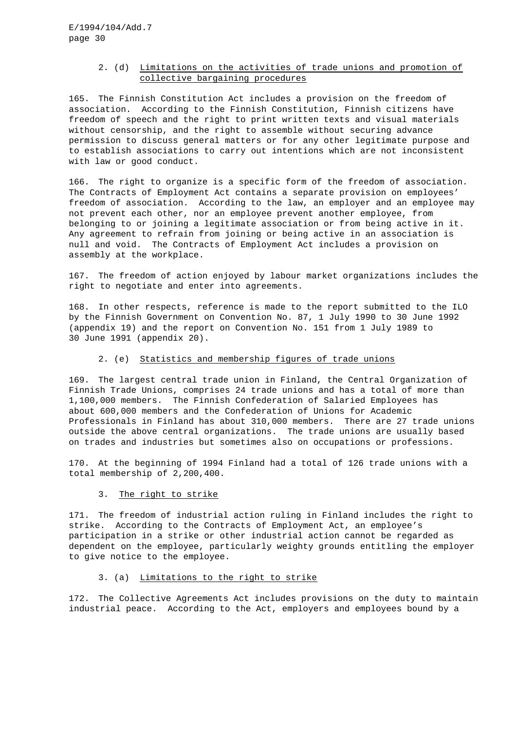# 2. (d) Limitations on the activities of trade unions and promotion of collective bargaining procedures

165. The Finnish Constitution Act includes a provision on the freedom of association. According to the Finnish Constitution, Finnish citizens have freedom of speech and the right to print written texts and visual materials without censorship, and the right to assemble without securing advance permission to discuss general matters or for any other legitimate purpose and to establish associations to carry out intentions which are not inconsistent with law or good conduct.

166. The right to organize is a specific form of the freedom of association. The Contracts of Employment Act contains a separate provision on employees' freedom of association. According to the law, an employer and an employee may not prevent each other, nor an employee prevent another employee, from belonging to or joining a legitimate association or from being active in it. Any agreement to refrain from joining or being active in an association is null and void. The Contracts of Employment Act includes a provision on assembly at the workplace.

167. The freedom of action enjoyed by labour market organizations includes the right to negotiate and enter into agreements.

168. In other respects, reference is made to the report submitted to the ILO by the Finnish Government on Convention No. 87, 1 July 1990 to 30 June 1992 (appendix 19) and the report on Convention No. 151 from 1 July 1989 to 30 June 1991 (appendix 20).

### 2. (e) Statistics and membership figures of trade unions

169. The largest central trade union in Finland, the Central Organization of Finnish Trade Unions, comprises 24 trade unions and has a total of more than 1,100,000 members. The Finnish Confederation of Salaried Employees has about 600,000 members and the Confederation of Unions for Academic Professionals in Finland has about 310,000 members. There are 27 trade unions outside the above central organizations. The trade unions are usually based on trades and industries but sometimes also on occupations or professions.

170. At the beginning of 1994 Finland had a total of 126 trade unions with a total membership of 2,200,400.

3. The right to strike

171. The freedom of industrial action ruling in Finland includes the right to strike. According to the Contracts of Employment Act, an employee's participation in a strike or other industrial action cannot be regarded as dependent on the employee, particularly weighty grounds entitling the employer to give notice to the employee.

# 3. (a) Limitations to the right to strike

172. The Collective Agreements Act includes provisions on the duty to maintain industrial peace. According to the Act, employers and employees bound by a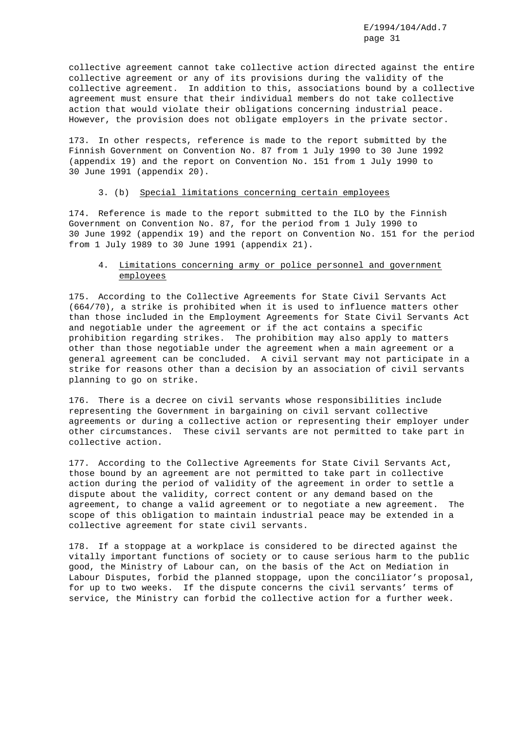collective agreement cannot take collective action directed against the entire collective agreement or any of its provisions during the validity of the collective agreement. In addition to this, associations bound by a collective agreement must ensure that their individual members do not take collective action that would violate their obligations concerning industrial peace. However, the provision does not obligate employers in the private sector.

173. In other respects, reference is made to the report submitted by the Finnish Government on Convention No. 87 from 1 July 1990 to 30 June 1992 (appendix 19) and the report on Convention No. 151 from 1 July 1990 to 30 June 1991 (appendix 20).

### 3. (b) Special limitations concerning certain employees

174. Reference is made to the report submitted to the ILO by the Finnish Government on Convention No. 87, for the period from 1 July 1990 to 30 June 1992 (appendix 19) and the report on Convention No. 151 for the period from 1 July 1989 to 30 June 1991 (appendix 21).

# 4. Limitations concerning army or police personnel and government employees

175. According to the Collective Agreements for State Civil Servants Act (664/70), a strike is prohibited when it is used to influence matters other than those included in the Employment Agreements for State Civil Servants Act and negotiable under the agreement or if the act contains a specific prohibition regarding strikes. The prohibition may also apply to matters other than those negotiable under the agreement when a main agreement or a general agreement can be concluded. A civil servant may not participate in a strike for reasons other than a decision by an association of civil servants planning to go on strike.

176. There is a decree on civil servants whose responsibilities include representing the Government in bargaining on civil servant collective agreements or during a collective action or representing their employer under other circumstances. These civil servants are not permitted to take part in collective action.

177. According to the Collective Agreements for State Civil Servants Act, those bound by an agreement are not permitted to take part in collective action during the period of validity of the agreement in order to settle a dispute about the validity, correct content or any demand based on the agreement, to change a valid agreement or to negotiate a new agreement. The scope of this obligation to maintain industrial peace may be extended in a collective agreement for state civil servants.

178. If a stoppage at a workplace is considered to be directed against the vitally important functions of society or to cause serious harm to the public good, the Ministry of Labour can, on the basis of the Act on Mediation in Labour Disputes, forbid the planned stoppage, upon the conciliator's proposal, for up to two weeks. If the dispute concerns the civil servants' terms of service, the Ministry can forbid the collective action for a further week.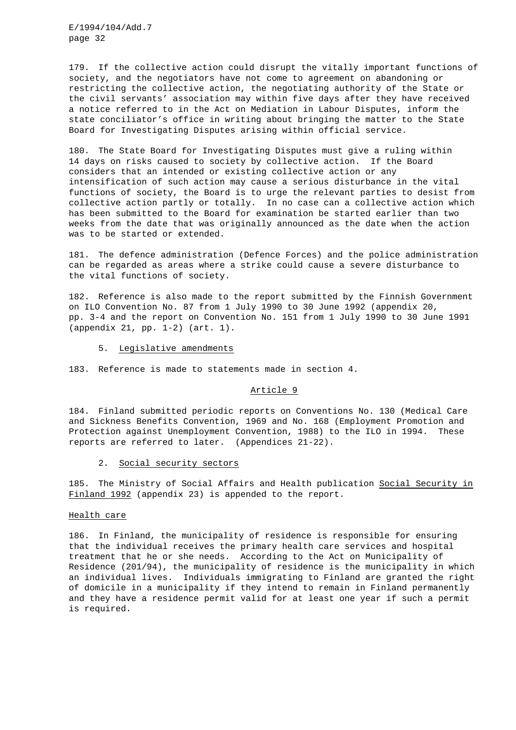179. If the collective action could disrupt the vitally important functions of society, and the negotiators have not come to agreement on abandoning or restricting the collective action, the negotiating authority of the State or the civil servants' association may within five days after they have received a notice referred to in the Act on Mediation in Labour Disputes, inform the state conciliator's office in writing about bringing the matter to the State Board for Investigating Disputes arising within official service.

180. The State Board for Investigating Disputes must give a ruling within 14 days on risks caused to society by collective action. If the Board considers that an intended or existing collective action or any intensification of such action may cause a serious disturbance in the vital functions of society, the Board is to urge the relevant parties to desist from collective action partly or totally. In no case can a collective action which has been submitted to the Board for examination be started earlier than two weeks from the date that was originally announced as the date when the action was to be started or extended.

181. The defence administration (Defence Forces) and the police administration can be regarded as areas where a strike could cause a severe disturbance to the vital functions of society.

182. Reference is also made to the report submitted by the Finnish Government on ILO Convention No. 87 from 1 July 1990 to 30 June 1992 (appendix 20, pp. 3-4 and the report on Convention No. 151 from 1 July 1990 to 30 June 1991 (appendix 21, pp. 1-2) (art. 1).

### 5. Legislative amendments

183. Reference is made to statements made in section 4.

#### Article 9

184. Finland submitted periodic reports on Conventions No. 130 (Medical Care and Sickness Benefits Convention, 1969 and No. 168 (Employment Promotion and Protection against Unemployment Convention, 1988) to the ILO in 1994. These reports are referred to later. (Appendices 21-22).

### 2. Social security sectors

185. The Ministry of Social Affairs and Health publication Social Security in Finland 1992 (appendix 23) is appended to the report.

# Health care

186. In Finland, the municipality of residence is responsible for ensuring that the individual receives the primary health care services and hospital treatment that he or she needs. According to the Act on Municipality of Residence (201/94), the municipality of residence is the municipality in which an individual lives. Individuals immigrating to Finland are granted the right of domicile in a municipality if they intend to remain in Finland permanently and they have a residence permit valid for at least one year if such a permit is required.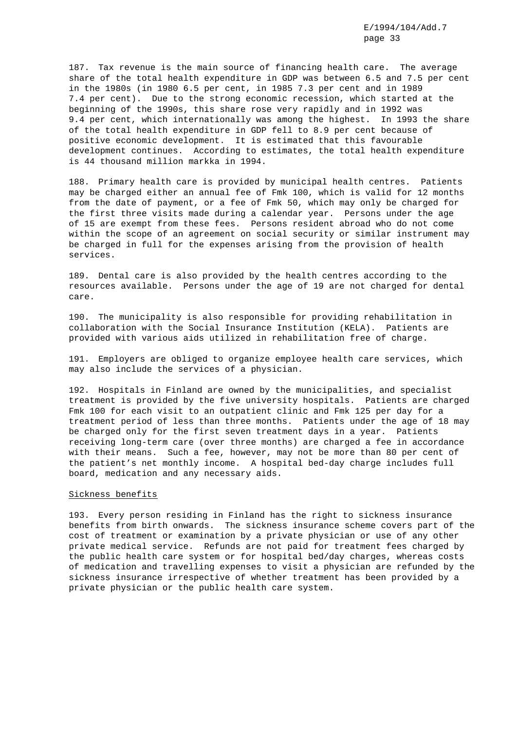187. Tax revenue is the main source of financing health care. The average share of the total health expenditure in GDP was between 6.5 and 7.5 per cent in the 1980s (in 1980 6.5 per cent, in 1985 7.3 per cent and in 1989 7.4 per cent). Due to the strong economic recession, which started at the beginning of the 1990s, this share rose very rapidly and in 1992 was 9.4 per cent, which internationally was among the highest. In 1993 the share of the total health expenditure in GDP fell to 8.9 per cent because of positive economic development. It is estimated that this favourable development continues. According to estimates, the total health expenditure is 44 thousand million markka in 1994.

188. Primary health care is provided by municipal health centres. Patients may be charged either an annual fee of Fmk 100, which is valid for 12 months from the date of payment, or a fee of Fmk 50, which may only be charged for the first three visits made during a calendar year. Persons under the age of 15 are exempt from these fees. Persons resident abroad who do not come within the scope of an agreement on social security or similar instrument may be charged in full for the expenses arising from the provision of health services.

189. Dental care is also provided by the health centres according to the resources available. Persons under the age of 19 are not charged for dental care.

190. The municipality is also responsible for providing rehabilitation in collaboration with the Social Insurance Institution (KELA). Patients are provided with various aids utilized in rehabilitation free of charge.

191. Employers are obliged to organize employee health care services, which may also include the services of a physician.

192. Hospitals in Finland are owned by the municipalities, and specialist treatment is provided by the five university hospitals. Patients are charged Fmk 100 for each visit to an outpatient clinic and Fmk 125 per day for a treatment period of less than three months. Patients under the age of 18 may be charged only for the first seven treatment days in a year. Patients receiving long-term care (over three months) are charged a fee in accordance with their means. Such a fee, however, may not be more than 80 per cent of the patient's net monthly income. A hospital bed-day charge includes full board, medication and any necessary aids.

### Sickness benefits

193. Every person residing in Finland has the right to sickness insurance benefits from birth onwards. The sickness insurance scheme covers part of the cost of treatment or examination by a private physician or use of any other private medical service. Refunds are not paid for treatment fees charged by the public health care system or for hospital bed/day charges, whereas costs of medication and travelling expenses to visit a physician are refunded by the sickness insurance irrespective of whether treatment has been provided by a private physician or the public health care system.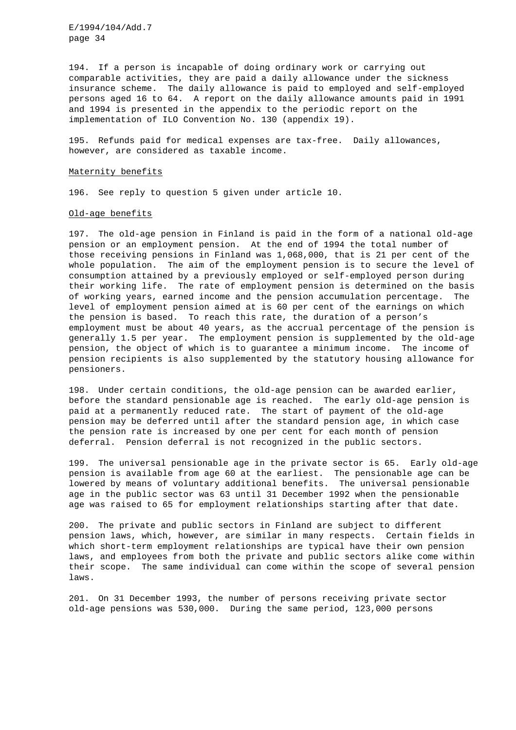194. If a person is incapable of doing ordinary work or carrying out comparable activities, they are paid a daily allowance under the sickness insurance scheme. The daily allowance is paid to employed and self-employed persons aged 16 to 64. A report on the daily allowance amounts paid in 1991 and 1994 is presented in the appendix to the periodic report on the implementation of ILO Convention No. 130 (appendix 19).

195. Refunds paid for medical expenses are tax-free. Daily allowances, however, are considered as taxable income.

#### Maternity benefits

196. See reply to question 5 given under article 10.

#### Old-age benefits

197. The old-age pension in Finland is paid in the form of a national old-age pension or an employment pension. At the end of 1994 the total number of those receiving pensions in Finland was 1,068,000, that is 21 per cent of the whole population. The aim of the employment pension is to secure the level of consumption attained by a previously employed or self-employed person during their working life. The rate of employment pension is determined on the basis of working years, earned income and the pension accumulation percentage. The level of employment pension aimed at is 60 per cent of the earnings on which the pension is based. To reach this rate, the duration of a person's employment must be about 40 years, as the accrual percentage of the pension is generally 1.5 per year. The employment pension is supplemented by the old-age pension, the object of which is to guarantee a minimum income. The income of pension recipients is also supplemented by the statutory housing allowance for pensioners.

198. Under certain conditions, the old-age pension can be awarded earlier, before the standard pensionable age is reached. The early old-age pension is paid at a permanently reduced rate. The start of payment of the old-age pension may be deferred until after the standard pension age, in which case the pension rate is increased by one per cent for each month of pension deferral. Pension deferral is not recognized in the public sectors.

199. The universal pensionable age in the private sector is 65. Early old-age pension is available from age 60 at the earliest. The pensionable age can be lowered by means of voluntary additional benefits. The universal pensionable age in the public sector was 63 until 31 December 1992 when the pensionable age was raised to 65 for employment relationships starting after that date.

200. The private and public sectors in Finland are subject to different pension laws, which, however, are similar in many respects. Certain fields in which short-term employment relationships are typical have their own pension laws, and employees from both the private and public sectors alike come within their scope. The same individual can come within the scope of several pension laws.

201. On 31 December 1993, the number of persons receiving private sector old-age pensions was 530,000. During the same period, 123,000 persons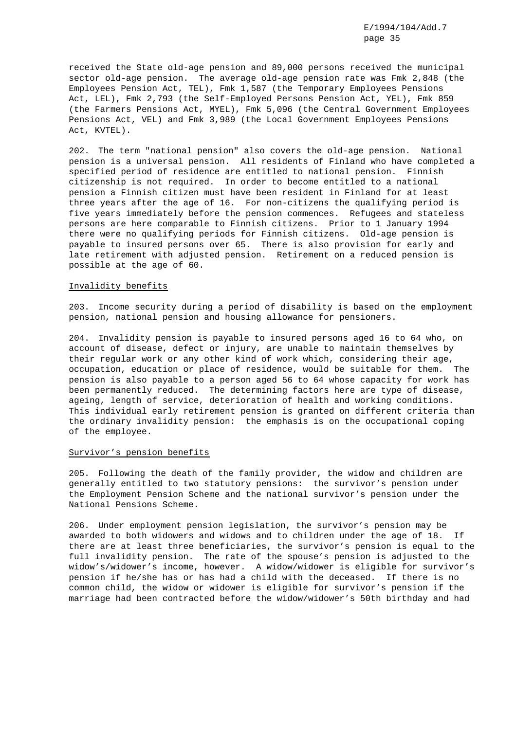received the State old-age pension and 89,000 persons received the municipal sector old-age pension. The average old-age pension rate was Fmk 2,848 (the Employees Pension Act, TEL), Fmk 1,587 (the Temporary Employees Pensions Act, LEL), Fmk 2,793 (the Self-Employed Persons Pension Act, YEL), Fmk 859 (the Farmers Pensions Act, MYEL), Fmk 5,096 (the Central Government Employees Pensions Act, VEL) and Fmk 3,989 (the Local Government Employees Pensions Act, KVTEL).

202. The term "national pension" also covers the old-age pension. National pension is a universal pension. All residents of Finland who have completed a specified period of residence are entitled to national pension. Finnish citizenship is not required. In order to become entitled to a national pension a Finnish citizen must have been resident in Finland for at least three years after the age of 16. For non-citizens the qualifying period is five years immediately before the pension commences. Refugees and stateless persons are here comparable to Finnish citizens. Prior to 1 January 1994 there were no qualifying periods for Finnish citizens. Old-age pension is payable to insured persons over 65. There is also provision for early and late retirement with adjusted pension. Retirement on a reduced pension is possible at the age of 60.

#### Invalidity benefits

203. Income security during a period of disability is based on the employment pension, national pension and housing allowance for pensioners.

204. Invalidity pension is payable to insured persons aged 16 to 64 who, on account of disease, defect or injury, are unable to maintain themselves by their regular work or any other kind of work which, considering their age, occupation, education or place of residence, would be suitable for them. The pension is also payable to a person aged 56 to 64 whose capacity for work has been permanently reduced. The determining factors here are type of disease, ageing, length of service, deterioration of health and working conditions. This individual early retirement pension is granted on different criteria than the ordinary invalidity pension: the emphasis is on the occupational coping of the employee.

#### Survivor's pension benefits

205. Following the death of the family provider, the widow and children are generally entitled to two statutory pensions: the survivor's pension under the Employment Pension Scheme and the national survivor's pension under the National Pensions Scheme.

206. Under employment pension legislation, the survivor's pension may be awarded to both widowers and widows and to children under the age of 18. If there are at least three beneficiaries, the survivor's pension is equal to the full invalidity pension. The rate of the spouse's pension is adjusted to the widow's/widower's income, however. A widow/widower is eligible for survivor's pension if he/she has or has had a child with the deceased. If there is no common child, the widow or widower is eligible for survivor's pension if the marriage had been contracted before the widow/widower's 50th birthday and had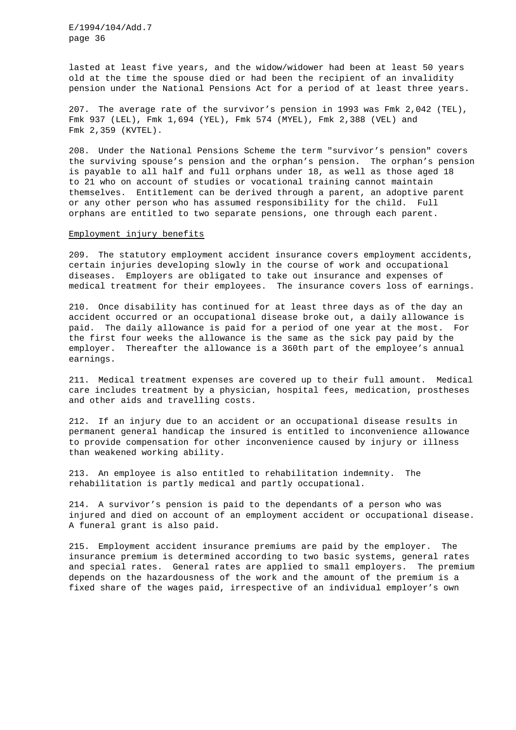lasted at least five years, and the widow/widower had been at least 50 years old at the time the spouse died or had been the recipient of an invalidity pension under the National Pensions Act for a period of at least three years.

207. The average rate of the survivor's pension in 1993 was Fmk 2,042 (TEL), Fmk 937 (LEL), Fmk 1,694 (YEL), Fmk 574 (MYEL), Fmk 2,388 (VEL) and Fmk 2,359 (KVTEL).

208. Under the National Pensions Scheme the term "survivor's pension" covers the surviving spouse's pension and the orphan's pension. The orphan's pension is payable to all half and full orphans under 18, as well as those aged 18 to 21 who on account of studies or vocational training cannot maintain themselves. Entitlement can be derived through a parent, an adoptive parent or any other person who has assumed responsibility for the child. Full orphans are entitled to two separate pensions, one through each parent.

### Employment injury benefits

209. The statutory employment accident insurance covers employment accidents, certain injuries developing slowly in the course of work and occupational diseases. Employers are obligated to take out insurance and expenses of medical treatment for their employees. The insurance covers loss of earnings.

210. Once disability has continued for at least three days as of the day an accident occurred or an occupational disease broke out, a daily allowance is paid. The daily allowance is paid for a period of one year at the most. For the first four weeks the allowance is the same as the sick pay paid by the employer. Thereafter the allowance is a 360th part of the employee's annual earnings.

211. Medical treatment expenses are covered up to their full amount. Medical care includes treatment by a physician, hospital fees, medication, prostheses and other aids and travelling costs.

212. If an injury due to an accident or an occupational disease results in permanent general handicap the insured is entitled to inconvenience allowance to provide compensation for other inconvenience caused by injury or illness than weakened working ability.

213. An employee is also entitled to rehabilitation indemnity. The rehabilitation is partly medical and partly occupational.

214. A survivor's pension is paid to the dependants of a person who was injured and died on account of an employment accident or occupational disease. A funeral grant is also paid.

215. Employment accident insurance premiums are paid by the employer. The insurance premium is determined according to two basic systems, general rates and special rates. General rates are applied to small employers. The premium depends on the hazardousness of the work and the amount of the premium is a fixed share of the wages paid, irrespective of an individual employer's own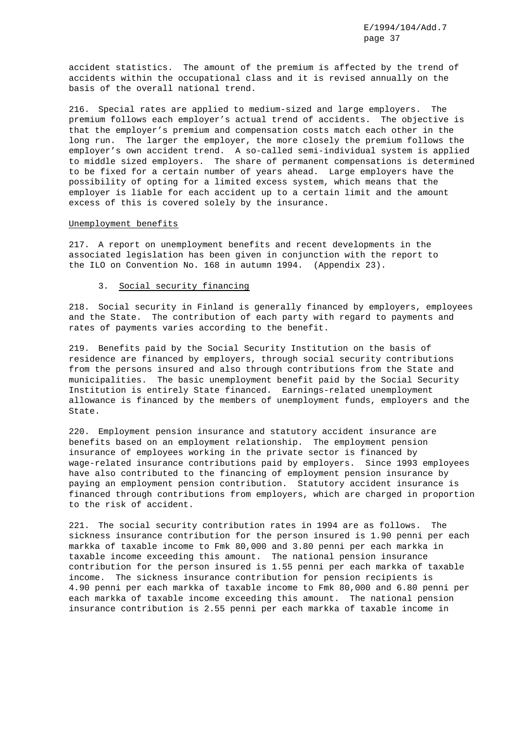accident statistics. The amount of the premium is affected by the trend of accidents within the occupational class and it is revised annually on the basis of the overall national trend.

216. Special rates are applied to medium-sized and large employers. The premium follows each employer's actual trend of accidents. The objective is that the employer's premium and compensation costs match each other in the long run. The larger the employer, the more closely the premium follows the employer's own accident trend. A so-called semi-individual system is applied to middle sized employers. The share of permanent compensations is determined to be fixed for a certain number of years ahead. Large employers have the possibility of opting for a limited excess system, which means that the employer is liable for each accident up to a certain limit and the amount excess of this is covered solely by the insurance.

### Unemployment benefits

217. A report on unemployment benefits and recent developments in the associated legislation has been given in conjunction with the report to the ILO on Convention No. 168 in autumn 1994. (Appendix 23).

### 3. Social security financing

218. Social security in Finland is generally financed by employers, employees and the State. The contribution of each party with regard to payments and rates of payments varies according to the benefit.

219. Benefits paid by the Social Security Institution on the basis of residence are financed by employers, through social security contributions from the persons insured and also through contributions from the State and municipalities. The basic unemployment benefit paid by the Social Security Institution is entirely State financed. Earnings-related unemployment allowance is financed by the members of unemployment funds, employers and the State.

220. Employment pension insurance and statutory accident insurance are benefits based on an employment relationship. The employment pension insurance of employees working in the private sector is financed by wage-related insurance contributions paid by employers. Since 1993 employees have also contributed to the financing of employment pension insurance by paying an employment pension contribution. Statutory accident insurance is financed through contributions from employers, which are charged in proportion to the risk of accident.

221. The social security contribution rates in 1994 are as follows. The sickness insurance contribution for the person insured is 1.90 penni per each markka of taxable income to Fmk 80,000 and 3.80 penni per each markka in taxable income exceeding this amount. The national pension insurance contribution for the person insured is 1.55 penni per each markka of taxable income. The sickness insurance contribution for pension recipients is 4.90 penni per each markka of taxable income to Fmk 80,000 and 6.80 penni per each markka of taxable income exceeding this amount. The national pension insurance contribution is 2.55 penni per each markka of taxable income in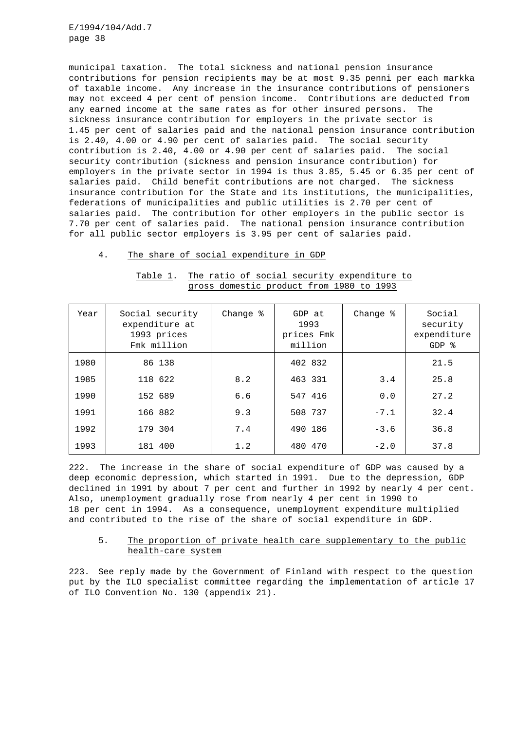municipal taxation. The total sickness and national pension insurance contributions for pension recipients may be at most 9.35 penni per each markka of taxable income. Any increase in the insurance contributions of pensioners may not exceed 4 per cent of pension income. Contributions are deducted from any earned income at the same rates as for other insured persons. The sickness insurance contribution for employers in the private sector is 1.45 per cent of salaries paid and the national pension insurance contribution is 2.40, 4.00 or 4.90 per cent of salaries paid. The social security contribution is 2.40, 4.00 or 4.90 per cent of salaries paid. The social security contribution (sickness and pension insurance contribution) for employers in the private sector in 1994 is thus 3.85, 5.45 or 6.35 per cent of salaries paid. Child benefit contributions are not charged. The sickness insurance contribution for the State and its institutions, the municipalities, federations of municipalities and public utilities is 2.70 per cent of salaries paid. The contribution for other employers in the public sector is 7.70 per cent of salaries paid. The national pension insurance contribution for all public sector employers is 3.95 per cent of salaries paid.

### 4. The share of social expenditure in GDP

| Year | Social security<br>expenditure at<br>1993 prices<br>Fmk million | Change % | GDP at<br>1993<br>prices Fmk<br>million | Change % | Social<br>security<br>expenditure<br>$GDP$ % |
|------|-----------------------------------------------------------------|----------|-----------------------------------------|----------|----------------------------------------------|
| 1980 | 86 138                                                          |          | 402 832                                 |          | 21.5                                         |
| 1985 | 118 622                                                         | 8.2      | 463 331                                 | 3.4      | 25.8                                         |
| 1990 | 152 689                                                         | 6.6      | 547 416                                 | 0.0      | 27.2                                         |
| 1991 | 166 882                                                         | 9.3      | 508 737                                 | $-7.1$   | 32.4                                         |
| 1992 | 179 304                                                         | 7.4      | 490 186                                 | $-3.6$   | 36.8                                         |
| 1993 | 181 400                                                         | 1.2      | 480 470                                 | $-2.0$   | 37.8                                         |

Table 1. The ratio of social security expenditure to gross domestic product from 1980 to 1993

222. The increase in the share of social expenditure of GDP was caused by a deep economic depression, which started in 1991. Due to the depression, GDP declined in 1991 by about 7 per cent and further in 1992 by nearly 4 per cent. Also, unemployment gradually rose from nearly 4 per cent in 1990 to 18 per cent in 1994. As a consequence, unemployment expenditure multiplied and contributed to the rise of the share of social expenditure in GDP.

# 5. The proportion of private health care supplementary to the public health-care system

223. See reply made by the Government of Finland with respect to the question put by the ILO specialist committee regarding the implementation of article 17 of ILO Convention No. 130 (appendix 21).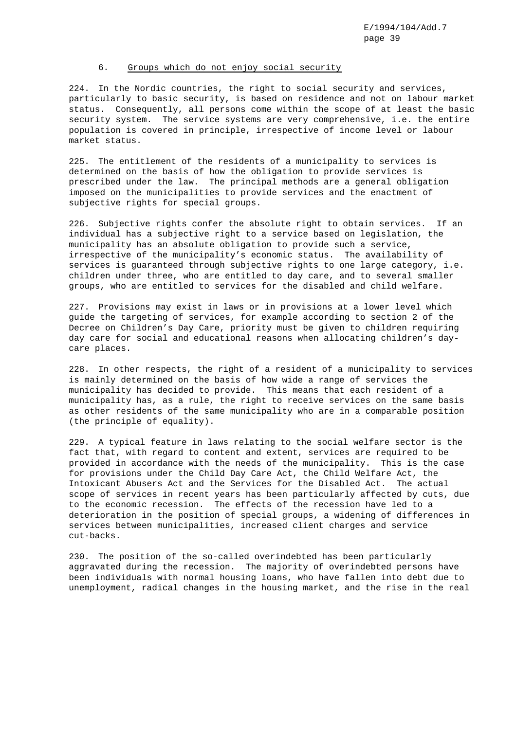### 6. Groups which do not enjoy social security

224. In the Nordic countries, the right to social security and services, particularly to basic security, is based on residence and not on labour market status. Consequently, all persons come within the scope of at least the basic security system. The service systems are very comprehensive, i.e. the entire population is covered in principle, irrespective of income level or labour market status.

225. The entitlement of the residents of a municipality to services is determined on the basis of how the obligation to provide services is prescribed under the law. The principal methods are a general obligation imposed on the municipalities to provide services and the enactment of subjective rights for special groups.

226. Subjective rights confer the absolute right to obtain services. If an individual has a subjective right to a service based on legislation, the municipality has an absolute obligation to provide such a service, irrespective of the municipality's economic status. The availability of services is guaranteed through subjective rights to one large category, i.e. children under three, who are entitled to day care, and to several smaller groups, who are entitled to services for the disabled and child welfare.

227. Provisions may exist in laws or in provisions at a lower level which guide the targeting of services, for example according to section 2 of the Decree on Children's Day Care, priority must be given to children requiring day care for social and educational reasons when allocating children's daycare places.

228. In other respects, the right of a resident of a municipality to services is mainly determined on the basis of how wide a range of services the municipality has decided to provide. This means that each resident of a municipality has, as a rule, the right to receive services on the same basis as other residents of the same municipality who are in a comparable position (the principle of equality).

229. A typical feature in laws relating to the social welfare sector is the fact that, with regard to content and extent, services are required to be provided in accordance with the needs of the municipality. This is the case for provisions under the Child Day Care Act, the Child Welfare Act, the Intoxicant Abusers Act and the Services for the Disabled Act. The actual scope of services in recent years has been particularly affected by cuts, due to the economic recession. The effects of the recession have led to a deterioration in the position of special groups, a widening of differences in services between municipalities, increased client charges and service cut-backs.

230. The position of the so-called overindebted has been particularly aggravated during the recession. The majority of overindebted persons have been individuals with normal housing loans, who have fallen into debt due to unemployment, radical changes in the housing market, and the rise in the real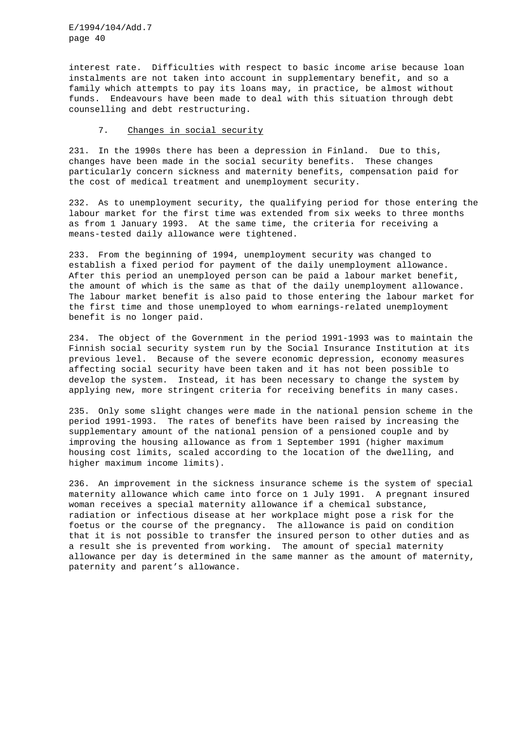interest rate. Difficulties with respect to basic income arise because loan instalments are not taken into account in supplementary benefit, and so a family which attempts to pay its loans may, in practice, be almost without funds. Endeavours have been made to deal with this situation through debt counselling and debt restructuring.

### 7. Changes in social security

231. In the 1990s there has been a depression in Finland. Due to this, changes have been made in the social security benefits. These changes particularly concern sickness and maternity benefits, compensation paid for the cost of medical treatment and unemployment security.

232. As to unemployment security, the qualifying period for those entering the labour market for the first time was extended from six weeks to three months as from 1 January 1993. At the same time, the criteria for receiving a means-tested daily allowance were tightened.

233. From the beginning of 1994, unemployment security was changed to establish a fixed period for payment of the daily unemployment allowance. After this period an unemployed person can be paid a labour market benefit, the amount of which is the same as that of the daily unemployment allowance. The labour market benefit is also paid to those entering the labour market for the first time and those unemployed to whom earnings-related unemployment benefit is no longer paid.

234. The object of the Government in the period 1991-1993 was to maintain the Finnish social security system run by the Social Insurance Institution at its previous level. Because of the severe economic depression, economy measures affecting social security have been taken and it has not been possible to develop the system. Instead, it has been necessary to change the system by applying new, more stringent criteria for receiving benefits in many cases.

235. Only some slight changes were made in the national pension scheme in the period 1991-1993. The rates of benefits have been raised by increasing the supplementary amount of the national pension of a pensioned couple and by improving the housing allowance as from 1 September 1991 (higher maximum housing cost limits, scaled according to the location of the dwelling, and higher maximum income limits).

236. An improvement in the sickness insurance scheme is the system of special maternity allowance which came into force on 1 July 1991. A pregnant insured woman receives a special maternity allowance if a chemical substance, radiation or infectious disease at her workplace might pose a risk for the foetus or the course of the pregnancy. The allowance is paid on condition that it is not possible to transfer the insured person to other duties and as a result she is prevented from working. The amount of special maternity allowance per day is determined in the same manner as the amount of maternity, paternity and parent's allowance.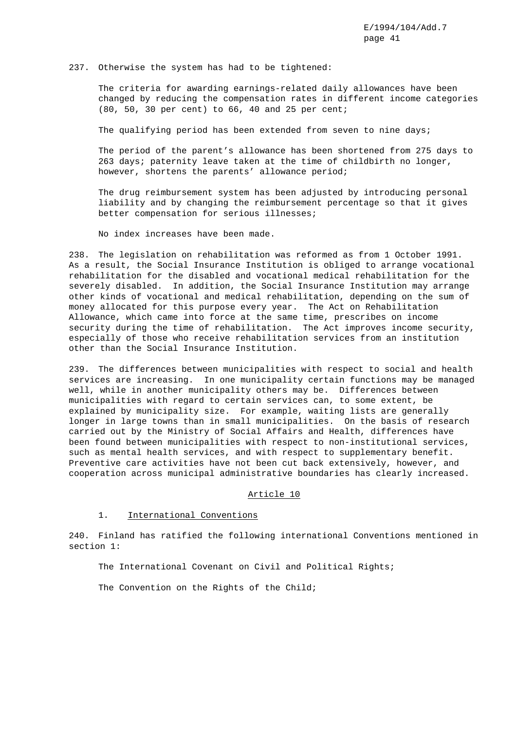#### 237. Otherwise the system has had to be tightened:

The criteria for awarding earnings-related daily allowances have been changed by reducing the compensation rates in different income categories (80, 50, 30 per cent) to 66, 40 and 25 per cent;

The qualifying period has been extended from seven to nine days;

The period of the parent's allowance has been shortened from 275 days to 263 days; paternity leave taken at the time of childbirth no longer, however, shortens the parents' allowance period;

The drug reimbursement system has been adjusted by introducing personal liability and by changing the reimbursement percentage so that it gives better compensation for serious illnesses;

No index increases have been made.

238. The legislation on rehabilitation was reformed as from 1 October 1991. As a result, the Social Insurance Institution is obliged to arrange vocational rehabilitation for the disabled and vocational medical rehabilitation for the severely disabled. In addition, the Social Insurance Institution may arrange other kinds of vocational and medical rehabilitation, depending on the sum of money allocated for this purpose every year. The Act on Rehabilitation Allowance, which came into force at the same time, prescribes on income security during the time of rehabilitation. The Act improves income security, especially of those who receive rehabilitation services from an institution other than the Social Insurance Institution.

239. The differences between municipalities with respect to social and health services are increasing. In one municipality certain functions may be managed well, while in another municipality others may be. Differences between municipalities with regard to certain services can, to some extent, be explained by municipality size. For example, waiting lists are generally longer in large towns than in small municipalities. On the basis of research carried out by the Ministry of Social Affairs and Health, differences have been found between municipalities with respect to non-institutional services, such as mental health services, and with respect to supplementary benefit. Preventive care activities have not been cut back extensively, however, and cooperation across municipal administrative boundaries has clearly increased.

### Article 10

### 1. International Conventions

240. Finland has ratified the following international Conventions mentioned in section 1:

The International Covenant on Civil and Political Rights;

The Convention on the Rights of the Child;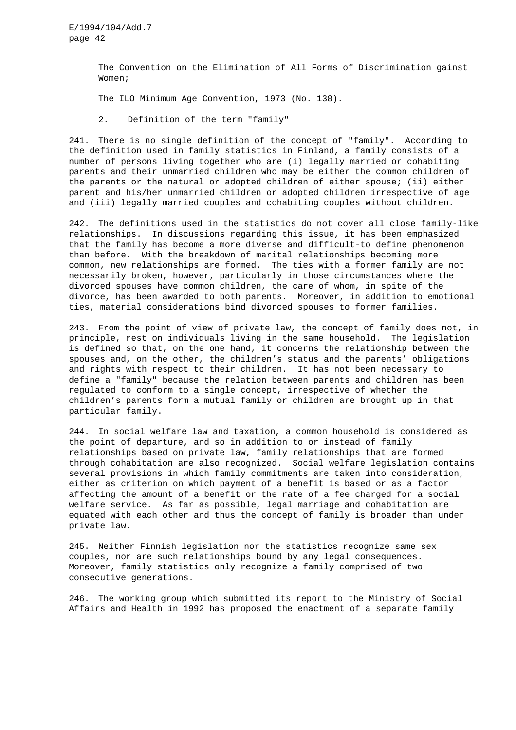> The Convention on the Elimination of All Forms of Discrimination gainst Women;

The ILO Minimum Age Convention, 1973 (No. 138).

### 2. Definition of the term "family"

241. There is no single definition of the concept of "family". According to the definition used in family statistics in Finland, a family consists of a number of persons living together who are (i) legally married or cohabiting parents and their unmarried children who may be either the common children of the parents or the natural or adopted children of either spouse; (ii) either parent and his/her unmarried children or adopted children irrespective of age and (iii) legally married couples and cohabiting couples without children.

242. The definitions used in the statistics do not cover all close family-like relationships. In discussions regarding this issue, it has been emphasized that the family has become a more diverse and difficult-to define phenomenon than before. With the breakdown of marital relationships becoming more common, new relationships are formed. The ties with a former family are not necessarily broken, however, particularly in those circumstances where the divorced spouses have common children, the care of whom, in spite of the divorce, has been awarded to both parents. Moreover, in addition to emotional ties, material considerations bind divorced spouses to former families.

243. From the point of view of private law, the concept of family does not, in principle, rest on individuals living in the same household. The legislation is defined so that, on the one hand, it concerns the relationship between the spouses and, on the other, the children's status and the parents' obligations and rights with respect to their children. It has not been necessary to define a "family" because the relation between parents and children has been regulated to conform to a single concept, irrespective of whether the children's parents form a mutual family or children are brought up in that particular family.

244. In social welfare law and taxation, a common household is considered as the point of departure, and so in addition to or instead of family relationships based on private law, family relationships that are formed through cohabitation are also recognized. Social welfare legislation contains several provisions in which family commitments are taken into consideration, either as criterion on which payment of a benefit is based or as a factor affecting the amount of a benefit or the rate of a fee charged for a social welfare service. As far as possible, legal marriage and cohabitation are equated with each other and thus the concept of family is broader than under private law.

245. Neither Finnish legislation nor the statistics recognize same sex couples, nor are such relationships bound by any legal consequences. Moreover, family statistics only recognize a family comprised of two consecutive generations.

246. The working group which submitted its report to the Ministry of Social Affairs and Health in 1992 has proposed the enactment of a separate family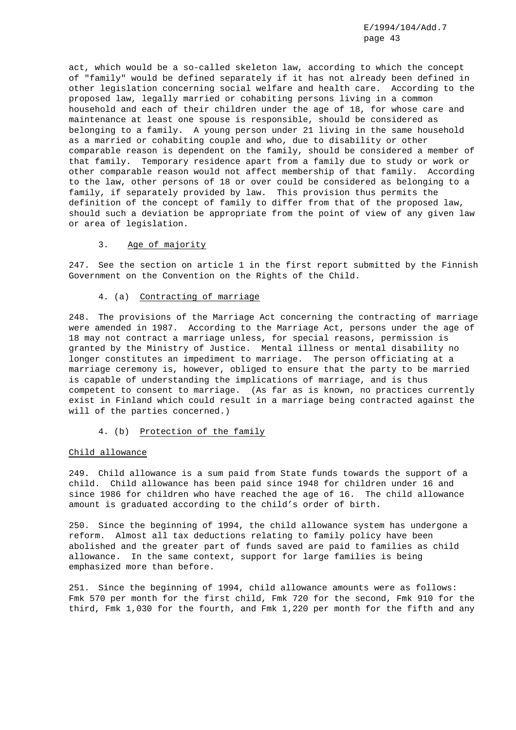act, which would be a so-called skeleton law, according to which the concept of "family" would be defined separately if it has not already been defined in other legislation concerning social welfare and health care. According to the proposed law, legally married or cohabiting persons living in a common household and each of their children under the age of 18, for whose care and maintenance at least one spouse is responsible, should be considered as belonging to a family. A young person under 21 living in the same household as a married or cohabiting couple and who, due to disability or other comparable reason is dependent on the family, should be considered a member of that family. Temporary residence apart from a family due to study or work or other comparable reason would not affect membership of that family. According to the law, other persons of 18 or over could be considered as belonging to a family, if separately provided by law. This provision thus permits the definition of the concept of family to differ from that of the proposed law, should such a deviation be appropriate from the point of view of any given law or area of legislation.

### 3. Age of majority

247. See the section on article 1 in the first report submitted by the Finnish Government on the Convention on the Rights of the Child.

#### 4. (a) Contracting of marriage

248. The provisions of the Marriage Act concerning the contracting of marriage were amended in 1987. According to the Marriage Act, persons under the age of 18 may not contract a marriage unless, for special reasons, permission is granted by the Ministry of Justice. Mental illness or mental disability no longer constitutes an impediment to marriage. The person officiating at a marriage ceremony is, however, obliged to ensure that the party to be married is capable of understanding the implications of marriage, and is thus competent to consent to marriage. (As far as is known, no practices currently exist in Finland which could result in a marriage being contracted against the will of the parties concerned.)

### 4. (b) Protection of the family

#### Child allowance

249. Child allowance is a sum paid from State funds towards the support of a child. Child allowance has been paid since 1948 for children under 16 and since 1986 for children who have reached the age of 16. The child allowance amount is graduated according to the child's order of birth.

250. Since the beginning of 1994, the child allowance system has undergone a reform. Almost all tax deductions relating to family policy have been abolished and the greater part of funds saved are paid to families as child allowance. In the same context, support for large families is being emphasized more than before.

251. Since the beginning of 1994, child allowance amounts were as follows: Fmk 570 per month for the first child, Fmk 720 for the second, Fmk 910 for the third, Fmk 1,030 for the fourth, and Fmk 1,220 per month for the fifth and any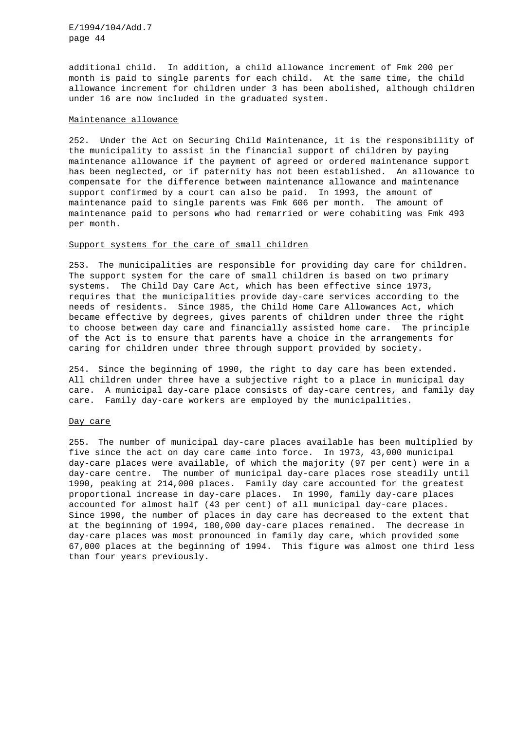additional child. In addition, a child allowance increment of Fmk 200 per month is paid to single parents for each child. At the same time, the child allowance increment for children under 3 has been abolished, although children under 16 are now included in the graduated system.

### Maintenance allowance

252. Under the Act on Securing Child Maintenance, it is the responsibility of the municipality to assist in the financial support of children by paying maintenance allowance if the payment of agreed or ordered maintenance support has been neglected, or if paternity has not been established. An allowance to compensate for the difference between maintenance allowance and maintenance support confirmed by a court can also be paid. In 1993, the amount of maintenance paid to single parents was Fmk 606 per month. The amount of maintenance paid to persons who had remarried or were cohabiting was Fmk 493 per month.

# Support systems for the care of small children

253. The municipalities are responsible for providing day care for children. The support system for the care of small children is based on two primary systems. The Child Day Care Act, which has been effective since 1973, requires that the municipalities provide day-care services according to the needs of residents. Since 1985, the Child Home Care Allowances Act, which became effective by degrees, gives parents of children under three the right to choose between day care and financially assisted home care. The principle of the Act is to ensure that parents have a choice in the arrangements for caring for children under three through support provided by society.

254. Since the beginning of 1990, the right to day care has been extended. All children under three have a subjective right to a place in municipal day care. A municipal day-care place consists of day-care centres, and family day care. Family day-care workers are employed by the municipalities.

### Day care

255. The number of municipal day-care places available has been multiplied by five since the act on day care came into force. In 1973, 43,000 municipal day-care places were available, of which the majority (97 per cent) were in a day-care centre. The number of municipal day-care places rose steadily until 1990, peaking at 214,000 places. Family day care accounted for the greatest proportional increase in day-care places. In 1990, family day-care places accounted for almost half (43 per cent) of all municipal day-care places. Since 1990, the number of places in day care has decreased to the extent that at the beginning of 1994, 180,000 day-care places remained. The decrease in day-care places was most pronounced in family day care, which provided some 67,000 places at the beginning of 1994. This figure was almost one third less than four years previously.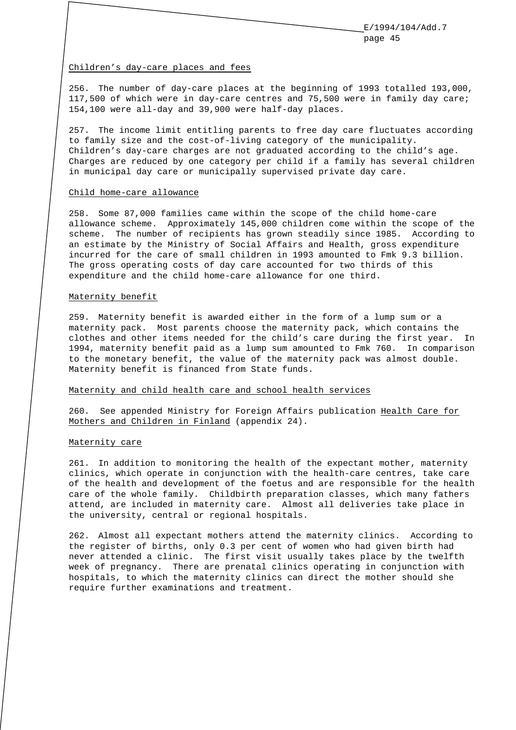#### Children's day-care places and fees

256. The number of day-care places at the beginning of 1993 totalled 193,000, 117,500 of which were in day-care centres and 75,500 were in family day care; 154,100 were all-day and 39,900 were half-day places.

257. The income limit entitling parents to free day care fluctuates according to family size and the cost-of-living category of the municipality. Children's day-care charges are not graduated according to the child's age. Charges are reduced by one category per child if a family has several children in municipal day care or municipally supervised private day care.

#### Child home-care allowance

258. Some 87,000 families came within the scope of the child home-care allowance scheme. Approximately 145,000 children come within the scope of the scheme. The number of recipients has grown steadily since 1985. According to an estimate by the Ministry of Social Affairs and Health, gross expenditure incurred for the care of small children in 1993 amounted to Fmk 9.3 billion. The gross operating costs of day care accounted for two thirds of this expenditure and the child home-care allowance for one third.

#### Maternity benefit

259. Maternity benefit is awarded either in the form of a lump sum or a maternity pack. Most parents choose the maternity pack, which contains the clothes and other items needed for the child's care during the first year. In 1994, maternity benefit paid as a lump sum amounted to Fmk 760. In comparison to the monetary benefit, the value of the maternity pack was almost double. Maternity benefit is financed from State funds.

#### Maternity and child health care and school health services

260. See appended Ministry for Foreign Affairs publication Health Care for Mothers and Children in Finland (appendix 24).

### Maternity care

261. In addition to monitoring the health of the expectant mother, maternity clinics, which operate in conjunction with the health-care centres, take care of the health and development of the foetus and are responsible for the health care of the whole family. Childbirth preparation classes, which many fathers attend, are included in maternity care. Almost all deliveries take place in the university, central or regional hospitals.

262. Almost all expectant mothers attend the maternity clinics. According to the register of births, only 0.3 per cent of women who had given birth had never attended a clinic. The first visit usually takes place by the twelfth week of pregnancy. There are prenatal clinics operating in conjunction with hospitals, to which the maternity clinics can direct the mother should she require further examinations and treatment.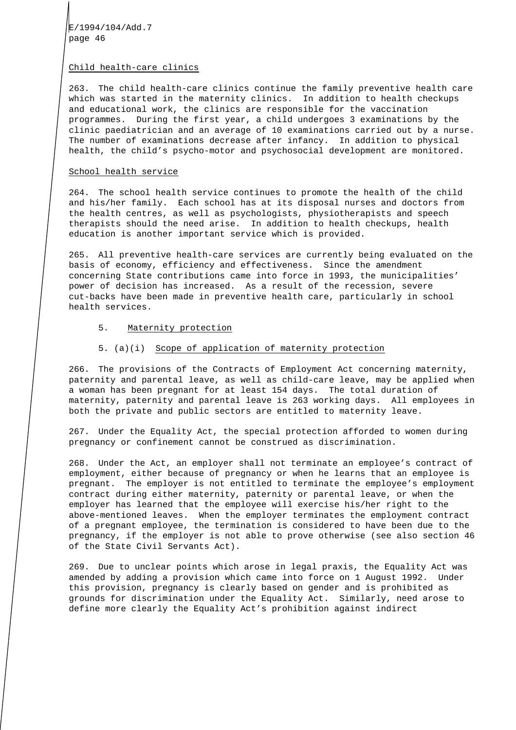### Child health-care clinics

263. The child health-care clinics continue the family preventive health care which was started in the maternity clinics. In addition to health checkups and educational work, the clinics are responsible for the vaccination programmes. During the first year, a child undergoes 3 examinations by the clinic paediatrician and an average of 10 examinations carried out by a nurse. The number of examinations decrease after infancy. In addition to physical health, the child's psycho-motor and psychosocial development are monitored.

#### School health service

264. The school health service continues to promote the health of the child and his/her family. Each school has at its disposal nurses and doctors from the health centres, as well as psychologists, physiotherapists and speech therapists should the need arise. In addition to health checkups, health education is another important service which is provided.

265. All preventive health-care services are currently being evaluated on the basis of economy, efficiency and effectiveness. Since the amendment concerning State contributions came into force in 1993, the municipalities' power of decision has increased. As a result of the recession, severe cut-backs have been made in preventive health care, particularly in school health services.

#### 5. Maternity protection

# 5. (a)(i) Scope of application of maternity protection

266. The provisions of the Contracts of Employment Act concerning maternity, paternity and parental leave, as well as child-care leave, may be applied when a woman has been pregnant for at least 154 days. The total duration of maternity, paternity and parental leave is 263 working days. All employees in both the private and public sectors are entitled to maternity leave.

267. Under the Equality Act, the special protection afforded to women during pregnancy or confinement cannot be construed as discrimination.

268. Under the Act, an employer shall not terminate an employee's contract of employment, either because of pregnancy or when he learns that an employee is pregnant. The employer is not entitled to terminate the employee's employment contract during either maternity, paternity or parental leave, or when the employer has learned that the employee will exercise his/her right to the above-mentioned leaves. When the employer terminates the employment contract of a pregnant employee, the termination is considered to have been due to the pregnancy, if the employer is not able to prove otherwise (see also section 46 of the State Civil Servants Act).

269. Due to unclear points which arose in legal praxis, the Equality Act was amended by adding a provision which came into force on 1 August 1992. Under this provision, pregnancy is clearly based on gender and is prohibited as grounds for discrimination under the Equality Act. Similarly, need arose to define more clearly the Equality Act's prohibition against indirect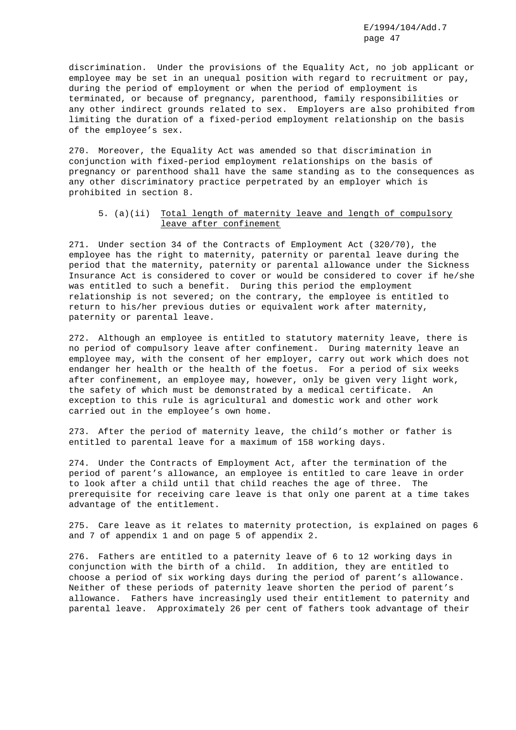discrimination. Under the provisions of the Equality Act, no job applicant or employee may be set in an unequal position with regard to recruitment or pay, during the period of employment or when the period of employment is terminated, or because of pregnancy, parenthood, family responsibilities or any other indirect grounds related to sex. Employers are also prohibited from limiting the duration of a fixed-period employment relationship on the basis of the employee's sex.

270. Moreover, the Equality Act was amended so that discrimination in conjunction with fixed-period employment relationships on the basis of pregnancy or parenthood shall have the same standing as to the consequences as any other discriminatory practice perpetrated by an employer which is prohibited in section 8.

# 5. (a)(ii) Total length of maternity leave and length of compulsory leave after confinement

271. Under section 34 of the Contracts of Employment Act (320/70), the employee has the right to maternity, paternity or parental leave during the period that the maternity, paternity or parental allowance under the Sickness Insurance Act is considered to cover or would be considered to cover if he/she was entitled to such a benefit. During this period the employment relationship is not severed; on the contrary, the employee is entitled to return to his/her previous duties or equivalent work after maternity, paternity or parental leave.

272. Although an employee is entitled to statutory maternity leave, there is no period of compulsory leave after confinement. During maternity leave an employee may, with the consent of her employer, carry out work which does not endanger her health or the health of the foetus. For a period of six weeks after confinement, an employee may, however, only be given very light work, the safety of which must be demonstrated by a medical certificate. An exception to this rule is agricultural and domestic work and other work carried out in the employee's own home.

273. After the period of maternity leave, the child's mother or father is entitled to parental leave for a maximum of 158 working days.

274. Under the Contracts of Employment Act, after the termination of the period of parent's allowance, an employee is entitled to care leave in order to look after a child until that child reaches the age of three. The prerequisite for receiving care leave is that only one parent at a time takes advantage of the entitlement.

275. Care leave as it relates to maternity protection, is explained on pages 6 and 7 of appendix 1 and on page 5 of appendix 2.

276. Fathers are entitled to a paternity leave of 6 to 12 working days in conjunction with the birth of a child. In addition, they are entitled to choose a period of six working days during the period of parent's allowance. Neither of these periods of paternity leave shorten the period of parent's allowance. Fathers have increasingly used their entitlement to paternity and parental leave. Approximately 26 per cent of fathers took advantage of their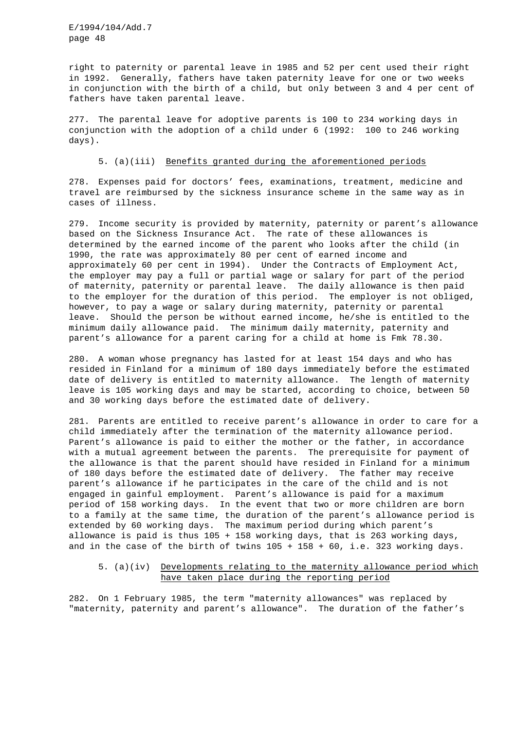right to paternity or parental leave in 1985 and 52 per cent used their right in 1992. Generally, fathers have taken paternity leave for one or two weeks in conjunction with the birth of a child, but only between 3 and 4 per cent of fathers have taken parental leave.

277. The parental leave for adoptive parents is 100 to 234 working days in conjunction with the adoption of a child under 6 (1992: 100 to 246 working days).

#### 5. (a)(iii) Benefits granted during the aforementioned periods

278. Expenses paid for doctors' fees, examinations, treatment, medicine and travel are reimbursed by the sickness insurance scheme in the same way as in cases of illness.

279. Income security is provided by maternity, paternity or parent's allowance based on the Sickness Insurance Act. The rate of these allowances is determined by the earned income of the parent who looks after the child (in 1990, the rate was approximately 80 per cent of earned income and approximately 60 per cent in 1994). Under the Contracts of Employment Act, the employer may pay a full or partial wage or salary for part of the period of maternity, paternity or parental leave. The daily allowance is then paid to the employer for the duration of this period. The employer is not obliged, however, to pay a wage or salary during maternity, paternity or parental leave. Should the person be without earned income, he/she is entitled to the minimum daily allowance paid. The minimum daily maternity, paternity and parent's allowance for a parent caring for a child at home is Fmk 78.30.

280. A woman whose pregnancy has lasted for at least 154 days and who has resided in Finland for a minimum of 180 days immediately before the estimated date of delivery is entitled to maternity allowance. The length of maternity leave is 105 working days and may be started, according to choice, between 50 and 30 working days before the estimated date of delivery.

281. Parents are entitled to receive parent's allowance in order to care for a child immediately after the termination of the maternity allowance period. Parent's allowance is paid to either the mother or the father, in accordance with a mutual agreement between the parents. The prerequisite for payment of the allowance is that the parent should have resided in Finland for a minimum of 180 days before the estimated date of delivery. The father may receive parent's allowance if he participates in the care of the child and is not engaged in gainful employment. Parent's allowance is paid for a maximum period of 158 working days. In the event that two or more children are born to a family at the same time, the duration of the parent's allowance period is extended by 60 working days. The maximum period during which parent's allowance is paid is thus 105 + 158 working days, that is 263 working days, and in the case of the birth of twins 105 + 158 + 60, i.e. 323 working days.

# 5. (a)(iv) Developments relating to the maternity allowance period which have taken place during the reporting period

282. On 1 February 1985, the term "maternity allowances" was replaced by "maternity, paternity and parent's allowance". The duration of the father's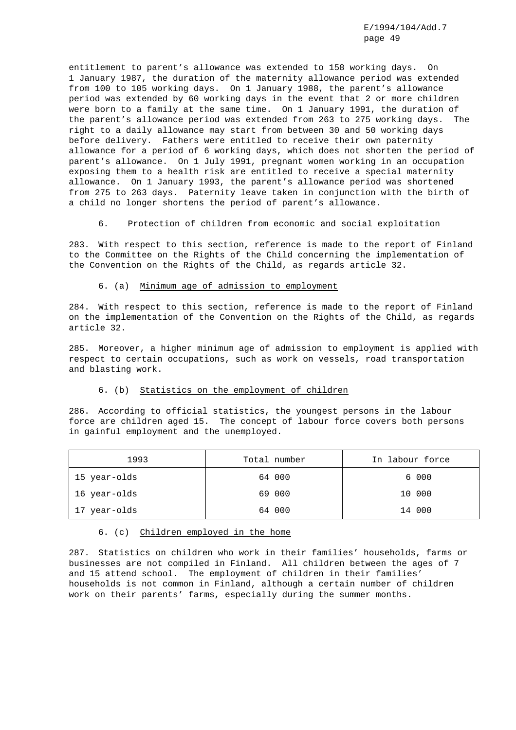entitlement to parent's allowance was extended to 158 working days. On 1 January 1987, the duration of the maternity allowance period was extended from 100 to 105 working days. On 1 January 1988, the parent's allowance period was extended by 60 working days in the event that 2 or more children were born to a family at the same time. On 1 January 1991, the duration of the parent's allowance period was extended from 263 to 275 working days. The right to a daily allowance may start from between 30 and 50 working days before delivery. Fathers were entitled to receive their own paternity allowance for a period of 6 working days, which does not shorten the period of parent's allowance. On 1 July 1991, pregnant women working in an occupation exposing them to a health risk are entitled to receive a special maternity allowance. On 1 January 1993, the parent's allowance period was shortened from 275 to 263 days. Paternity leave taken in conjunction with the birth of a child no longer shortens the period of parent's allowance.

### 6. Protection of children from economic and social exploitation

283. With respect to this section, reference is made to the report of Finland to the Committee on the Rights of the Child concerning the implementation of the Convention on the Rights of the Child, as regards article 32.

6. (a) Minimum age of admission to employment

284. With respect to this section, reference is made to the report of Finland on the implementation of the Convention on the Rights of the Child, as regards article 32.

285. Moreover, a higher minimum age of admission to employment is applied with respect to certain occupations, such as work on vessels, road transportation and blasting work.

### 6. (b) Statistics on the employment of children

286. According to official statistics, the youngest persons in the labour force are children aged 15. The concept of labour force covers both persons in gainful employment and the unemployed.

| 1993         | Total number | In labour force |
|--------------|--------------|-----------------|
| 15 year-olds | 64 000       | 6 000           |
| 16 year-olds | 69 000       | 10 000          |
| 17 year-olds | 64 000       | 14 000          |

6. (c) Children employed in the home

287. Statistics on children who work in their families' households, farms or businesses are not compiled in Finland. All children between the ages of 7 and 15 attend school. The employment of children in their families' households is not common in Finland, although a certain number of children work on their parents' farms, especially during the summer months.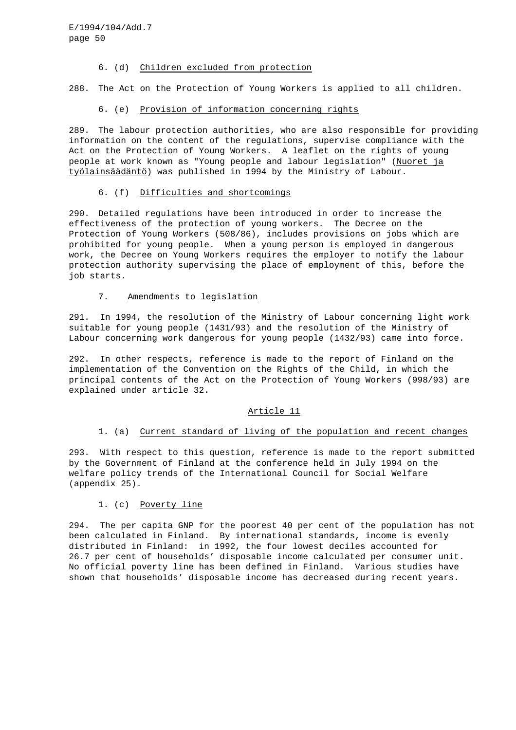### 6. (d) Children excluded from protection

288. The Act on the Protection of Young Workers is applied to all children.

### 6. (e) Provision of information concerning rights

289. The labour protection authorities, who are also responsible for providing information on the content of the regulations, supervise compliance with the Act on the Protection of Young Workers. A leaflet on the rights of young people at work known as "Young people and labour legislation" (Nuoret ja työlainsäädäntö) was published in 1994 by the Ministry of Labour.

# 6. (f) Difficulties and shortcomings

290. Detailed regulations have been introduced in order to increase the effectiveness of the protection of young workers. The Decree on the Protection of Young Workers (508/86), includes provisions on jobs which are prohibited for young people. When a young person is employed in dangerous work, the Decree on Young Workers requires the employer to notify the labour protection authority supervising the place of employment of this, before the job starts.

### 7. Amendments to legislation

291. In 1994, the resolution of the Ministry of Labour concerning light work suitable for young people (1431/93) and the resolution of the Ministry of Labour concerning work dangerous for young people (1432/93) came into force.

292. In other respects, reference is made to the report of Finland on the implementation of the Convention on the Rights of the Child, in which the principal contents of the Act on the Protection of Young Workers (998/93) are explained under article 32.

### Article 11

# 1. (a) Current standard of living of the population and recent changes

293. With respect to this question, reference is made to the report submitted by the Government of Finland at the conference held in July 1994 on the welfare policy trends of the International Council for Social Welfare (appendix 25).

### 1. (c) Poverty line

294. The per capita GNP for the poorest 40 per cent of the population has not been calculated in Finland. By international standards, income is evenly distributed in Finland: in 1992, the four lowest deciles accounted for 26.7 per cent of households' disposable income calculated per consumer unit. No official poverty line has been defined in Finland. Various studies have shown that households' disposable income has decreased during recent years.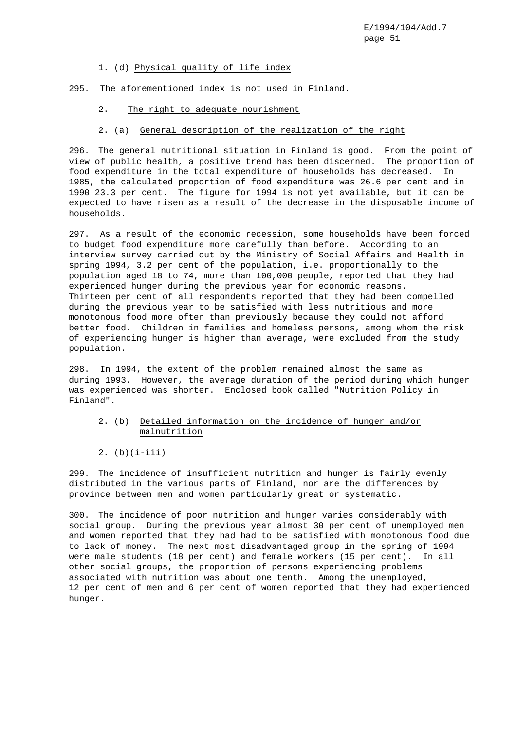### 1. (d) Physical quality of life index

295. The aforementioned index is not used in Finland.

2. The right to adequate nourishment

# 2. (a) General description of the realization of the right

296. The general nutritional situation in Finland is good. From the point of view of public health, a positive trend has been discerned. The proportion of food expenditure in the total expenditure of households has decreased. In 1985, the calculated proportion of food expenditure was 26.6 per cent and in 1990 23.3 per cent. The figure for 1994 is not yet available, but it can be expected to have risen as a result of the decrease in the disposable income of households.

297. As a result of the economic recession, some households have been forced to budget food expenditure more carefully than before. According to an interview survey carried out by the Ministry of Social Affairs and Health in spring 1994, 3.2 per cent of the population, i.e. proportionally to the population aged 18 to 74, more than 100,000 people, reported that they had experienced hunger during the previous year for economic reasons. Thirteen per cent of all respondents reported that they had been compelled during the previous year to be satisfied with less nutritious and more monotonous food more often than previously because they could not afford better food. Children in families and homeless persons, among whom the risk of experiencing hunger is higher than average, were excluded from the study population.

298. In 1994, the extent of the problem remained almost the same as during 1993. However, the average duration of the period during which hunger was experienced was shorter. Enclosed book called "Nutrition Policy in Finland".

- 2. (b) Detailed information on the incidence of hunger and/or malnutrition
- 2.  $(b)(i-iii)$

299. The incidence of insufficient nutrition and hunger is fairly evenly distributed in the various parts of Finland, nor are the differences by province between men and women particularly great or systematic.

300. The incidence of poor nutrition and hunger varies considerably with social group. During the previous year almost 30 per cent of unemployed men and women reported that they had had to be satisfied with monotonous food due to lack of money. The next most disadvantaged group in the spring of 1994 were male students (18 per cent) and female workers (15 per cent). In all other social groups, the proportion of persons experiencing problems associated with nutrition was about one tenth. Among the unemployed, 12 per cent of men and 6 per cent of women reported that they had experienced hunger.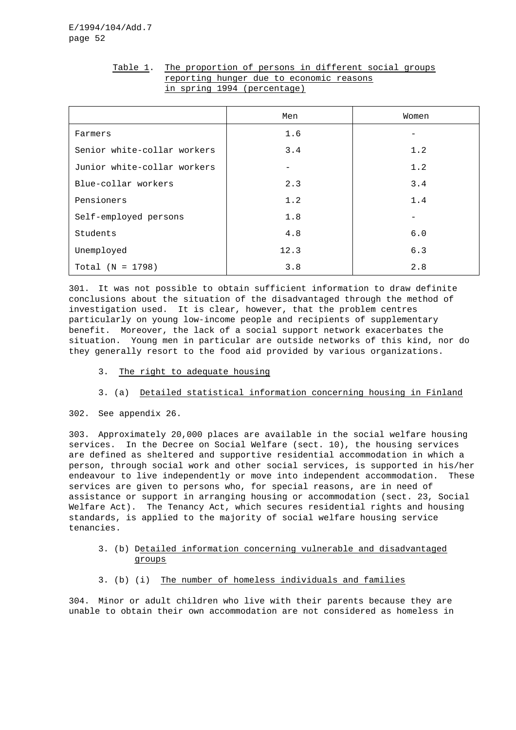|                             | Men  | Women                    |
|-----------------------------|------|--------------------------|
| Farmers                     | 1.6  |                          |
| Senior white-collar workers | 3.4  | 1.2                      |
| Junior white-collar workers |      | 1.2                      |
| Blue-collar workers         | 2.3  | 3.4                      |
| Pensioners                  | 1.2  | 1.4                      |
| Self-employed persons       | 1.8  | $\overline{\phantom{0}}$ |
| Students                    | 4.8  | 6.0                      |
| Unemployed                  | 12.3 | 6.3                      |
| $Total (N = 1798)$          | 3.8  | 2.8                      |

# Table 1. The proportion of persons in different social groups reporting hunger due to economic reasons in spring 1994 (percentage)

301. It was not possible to obtain sufficient information to draw definite conclusions about the situation of the disadvantaged through the method of investigation used. It is clear, however, that the problem centres particularly on young low-income people and recipients of supplementary benefit. Moreover, the lack of a social support network exacerbates the situation. Young men in particular are outside networks of this kind, nor do they generally resort to the food aid provided by various organizations.

- 3. The right to adequate housing
- 3. (a) Detailed statistical information concerning housing in Finland
- 302. See appendix 26.

303. Approximately 20,000 places are available in the social welfare housing services. In the Decree on Social Welfare (sect. 10), the housing services are defined as sheltered and supportive residential accommodation in which a person, through social work and other social services, is supported in his/her endeavour to live independently or move into independent accommodation. These services are given to persons who, for special reasons, are in need of assistance or support in arranging housing or accommodation (sect. 23, Social Welfare Act). The Tenancy Act, which secures residential rights and housing standards, is applied to the majority of social welfare housing service tenancies.

- 3. (b) Detailed information concerning vulnerable and disadvantaged groups
- 3. (b) (i) The number of homeless individuals and families

304. Minor or adult children who live with their parents because they are unable to obtain their own accommodation are not considered as homeless in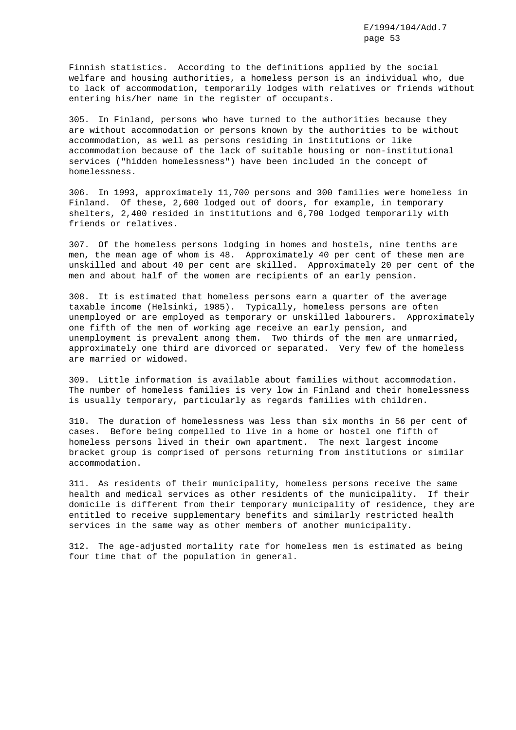Finnish statistics. According to the definitions applied by the social welfare and housing authorities, a homeless person is an individual who, due to lack of accommodation, temporarily lodges with relatives or friends without entering his/her name in the register of occupants.

305. In Finland, persons who have turned to the authorities because they are without accommodation or persons known by the authorities to be without accommodation, as well as persons residing in institutions or like accommodation because of the lack of suitable housing or non-institutional services ("hidden homelessness") have been included in the concept of homelessness.

306. In 1993, approximately 11,700 persons and 300 families were homeless in Finland. Of these, 2,600 lodged out of doors, for example, in temporary shelters, 2,400 resided in institutions and 6,700 lodged temporarily with friends or relatives.

307. Of the homeless persons lodging in homes and hostels, nine tenths are men, the mean age of whom is 48. Approximately 40 per cent of these men are unskilled and about 40 per cent are skilled. Approximately 20 per cent of the men and about half of the women are recipients of an early pension.

308. It is estimated that homeless persons earn a quarter of the average taxable income (Helsinki, 1985). Typically, homeless persons are often unemployed or are employed as temporary or unskilled labourers. Approximately one fifth of the men of working age receive an early pension, and unemployment is prevalent among them. Two thirds of the men are unmarried, approximately one third are divorced or separated. Very few of the homeless are married or widowed.

309. Little information is available about families without accommodation. The number of homeless families is very low in Finland and their homelessness is usually temporary, particularly as regards families with children.

310. The duration of homelessness was less than six months in 56 per cent of cases. Before being compelled to live in a home or hostel one fifth of homeless persons lived in their own apartment. The next largest income bracket group is comprised of persons returning from institutions or similar accommodation.

311. As residents of their municipality, homeless persons receive the same health and medical services as other residents of the municipality. If their domicile is different from their temporary municipality of residence, they are entitled to receive supplementary benefits and similarly restricted health services in the same way as other members of another municipality.

312. The age-adjusted mortality rate for homeless men is estimated as being four time that of the population in general.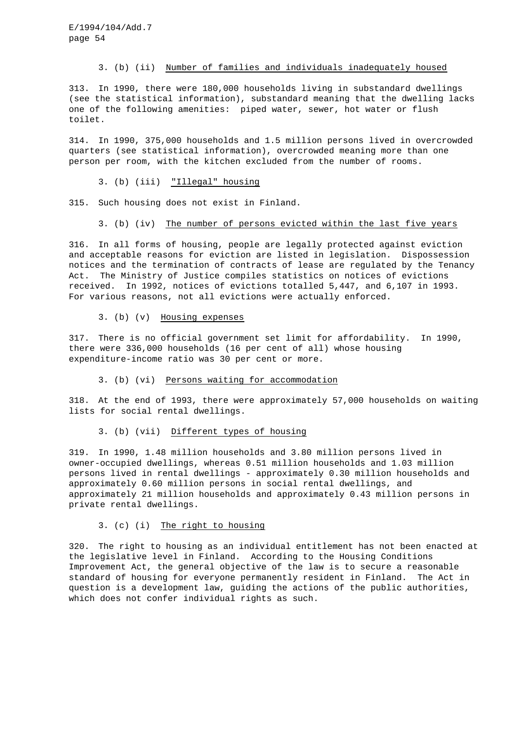#### 3. (b) (ii) Number of families and individuals inadequately housed

313. In 1990, there were 180,000 households living in substandard dwellings (see the statistical information), substandard meaning that the dwelling lacks one of the following amenities: piped water, sewer, hot water or flush toilet.

314. In 1990, 375,000 households and 1.5 million persons lived in overcrowded quarters (see statistical information), overcrowded meaning more than one person per room, with the kitchen excluded from the number of rooms.

3. (b) (iii) "Illegal" housing

315. Such housing does not exist in Finland.

#### 3. (b) (iv) The number of persons evicted within the last five years

316. In all forms of housing, people are legally protected against eviction and acceptable reasons for eviction are listed in legislation. Dispossession notices and the termination of contracts of lease are regulated by the Tenancy Act. The Ministry of Justice compiles statistics on notices of evictions received. In 1992, notices of evictions totalled 5,447, and 6,107 in 1993. For various reasons, not all evictions were actually enforced.

3. (b) (v) Housing expenses

317. There is no official government set limit for affordability. In 1990, there were 336,000 households (16 per cent of all) whose housing expenditure-income ratio was 30 per cent or more.

#### 3. (b) (vi) Persons waiting for accommodation

318. At the end of 1993, there were approximately 57,000 households on waiting lists for social rental dwellings.

3. (b) (vii) Different types of housing

319. In 1990, 1.48 million households and 3.80 million persons lived in owner-occupied dwellings, whereas 0.51 million households and 1.03 million persons lived in rental dwellings - approximately 0.30 million households and approximately 0.60 million persons in social rental dwellings, and approximately 21 million households and approximately 0.43 million persons in private rental dwellings.

# 3. (c) (i) The right to housing

320. The right to housing as an individual entitlement has not been enacted at the legislative level in Finland. According to the Housing Conditions Improvement Act, the general objective of the law is to secure a reasonable standard of housing for everyone permanently resident in Finland. The Act in question is a development law, guiding the actions of the public authorities, which does not confer individual rights as such.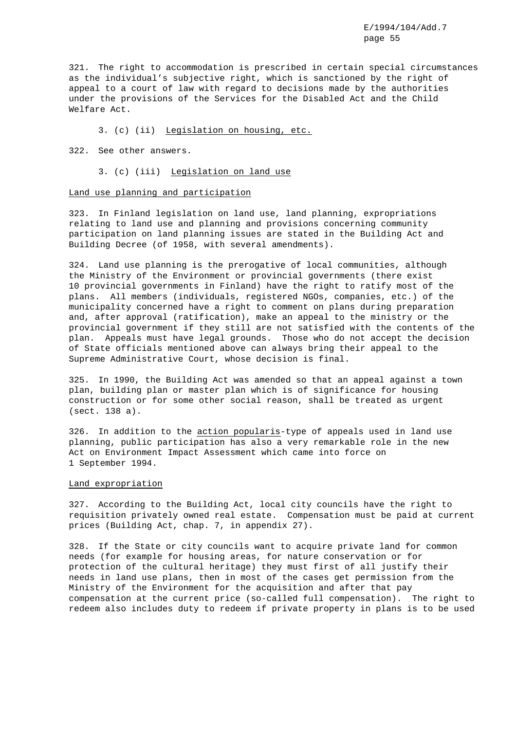321. The right to accommodation is prescribed in certain special circumstances as the individual's subjective right, which is sanctioned by the right of appeal to a court of law with regard to decisions made by the authorities under the provisions of the Services for the Disabled Act and the Child Welfare Act.

3. (c) (ii) Legislation on housing, etc.

322. See other answers.

3. (c) (iii) Legislation on land use

#### Land use planning and participation

323. In Finland legislation on land use, land planning, expropriations relating to land use and planning and provisions concerning community participation on land planning issues are stated in the Building Act and Building Decree (of 1958, with several amendments).

324. Land use planning is the prerogative of local communities, although the Ministry of the Environment or provincial governments (there exist 10 provincial governments in Finland) have the right to ratify most of the plans. All members (individuals, registered NGOs, companies, etc.) of the municipality concerned have a right to comment on plans during preparation and, after approval (ratification), make an appeal to the ministry or the provincial government if they still are not satisfied with the contents of the plan. Appeals must have legal grounds. Those who do not accept the decision of State officials mentioned above can always bring their appeal to the Supreme Administrative Court, whose decision is final.

325. In 1990, the Building Act was amended so that an appeal against a town plan, building plan or master plan which is of significance for housing construction or for some other social reason, shall be treated as urgent (sect. 138 a).

326. In addition to the action popularis-type of appeals used in land use planning, public participation has also a very remarkable role in the new Act on Environment Impact Assessment which came into force on 1 September 1994.

#### Land expropriation

327. According to the Building Act, local city councils have the right to requisition privately owned real estate. Compensation must be paid at current prices (Building Act, chap. 7, in appendix 27).

328. If the State or city councils want to acquire private land for common needs (for example for housing areas, for nature conservation or for protection of the cultural heritage) they must first of all justify their needs in land use plans, then in most of the cases get permission from the Ministry of the Environment for the acquisition and after that pay compensation at the current price (so-called full compensation). The right to redeem also includes duty to redeem if private property in plans is to be used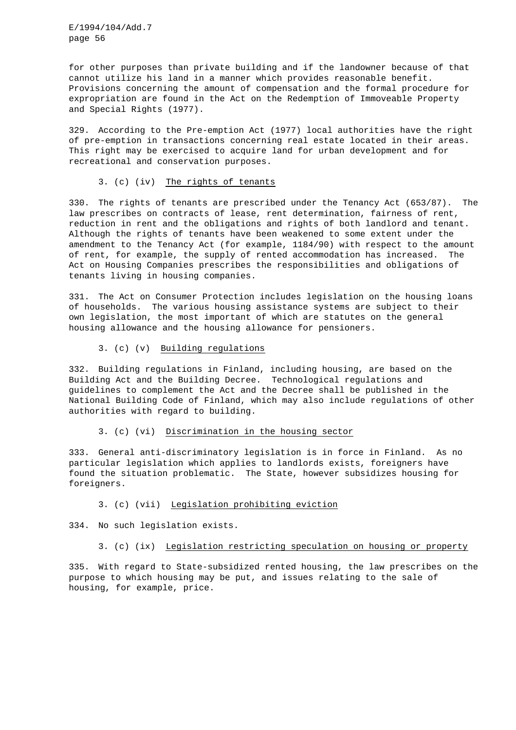for other purposes than private building and if the landowner because of that cannot utilize his land in a manner which provides reasonable benefit. Provisions concerning the amount of compensation and the formal procedure for expropriation are found in the Act on the Redemption of Immoveable Property and Special Rights (1977).

329. According to the Pre-emption Act (1977) local authorities have the right of pre-emption in transactions concerning real estate located in their areas. This right may be exercised to acquire land for urban development and for recreational and conservation purposes.

#### 3. (c) (iv) The rights of tenants

330. The rights of tenants are prescribed under the Tenancy Act (653/87). The law prescribes on contracts of lease, rent determination, fairness of rent, reduction in rent and the obligations and rights of both landlord and tenant. Although the rights of tenants have been weakened to some extent under the amendment to the Tenancy Act (for example, 1184/90) with respect to the amount of rent, for example, the supply of rented accommodation has increased. The Act on Housing Companies prescribes the responsibilities and obligations of tenants living in housing companies.

331. The Act on Consumer Protection includes legislation on the housing loans of households. The various housing assistance systems are subject to their own legislation, the most important of which are statutes on the general housing allowance and the housing allowance for pensioners.

### 3. (c) (v) Building regulations

332. Building regulations in Finland, including housing, are based on the Building Act and the Building Decree. Technological regulations and guidelines to complement the Act and the Decree shall be published in the National Building Code of Finland, which may also include regulations of other authorities with regard to building.

### 3. (c) (vi) Discrimination in the housing sector

333. General anti-discriminatory legislation is in force in Finland. As no particular legislation which applies to landlords exists, foreigners have found the situation problematic. The State, however subsidizes housing for foreigners.

### 3. (c) (vii) Legislation prohibiting eviction

334. No such legislation exists.

### 3. (c) (ix) Legislation restricting speculation on housing or property

335. With regard to State-subsidized rented housing, the law prescribes on the purpose to which housing may be put, and issues relating to the sale of housing, for example, price.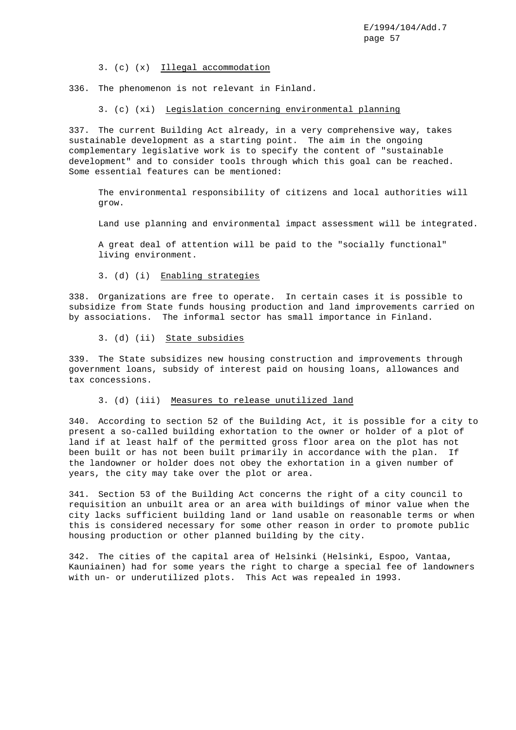3. (c) (x) Illegal accommodation

336. The phenomenon is not relevant in Finland.

3. (c) (xi) Legislation concerning environmental planning

337. The current Building Act already, in a very comprehensive way, takes sustainable development as a starting point. The aim in the ongoing complementary legislative work is to specify the content of "sustainable development" and to consider tools through which this goal can be reached. Some essential features can be mentioned:

The environmental responsibility of citizens and local authorities will grow.

Land use planning and environmental impact assessment will be integrated.

A great deal of attention will be paid to the "socially functional" living environment.

3. (d) (i) Enabling strategies

338. Organizations are free to operate. In certain cases it is possible to subsidize from State funds housing production and land improvements carried on by associations. The informal sector has small importance in Finland.

3. (d) (ii) State subsidies

339. The State subsidizes new housing construction and improvements through government loans, subsidy of interest paid on housing loans, allowances and tax concessions.

### 3. (d) (iii) Measures to release unutilized land

340. According to section 52 of the Building Act, it is possible for a city to present a so-called building exhortation to the owner or holder of a plot of land if at least half of the permitted gross floor area on the plot has not been built or has not been built primarily in accordance with the plan. If the landowner or holder does not obey the exhortation in a given number of years, the city may take over the plot or area.

341. Section 53 of the Building Act concerns the right of a city council to requisition an unbuilt area or an area with buildings of minor value when the city lacks sufficient building land or land usable on reasonable terms or when this is considered necessary for some other reason in order to promote public housing production or other planned building by the city.

342. The cities of the capital area of Helsinki (Helsinki, Espoo, Vantaa, Kauniainen) had for some years the right to charge a special fee of landowners with un- or underutilized plots. This Act was repealed in 1993.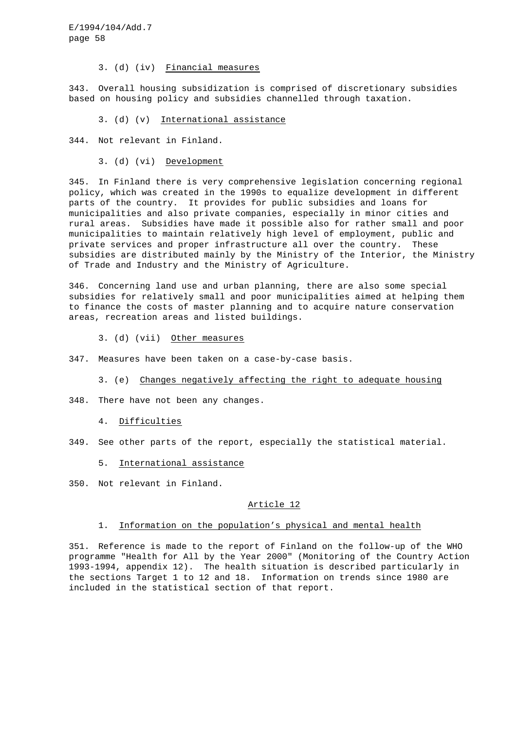3. (d) (iv) Financial measures

343. Overall housing subsidization is comprised of discretionary subsidies based on housing policy and subsidies channelled through taxation.

3. (d) (v) International assistance

344. Not relevant in Finland.

3. (d) (vi) Development

345. In Finland there is very comprehensive legislation concerning regional policy, which was created in the 1990s to equalize development in different parts of the country. It provides for public subsidies and loans for municipalities and also private companies, especially in minor cities and rural areas. Subsidies have made it possible also for rather small and poor municipalities to maintain relatively high level of employment, public and private services and proper infrastructure all over the country. These subsidies are distributed mainly by the Ministry of the Interior, the Ministry of Trade and Industry and the Ministry of Agriculture.

346. Concerning land use and urban planning, there are also some special subsidies for relatively small and poor municipalities aimed at helping them to finance the costs of master planning and to acquire nature conservation areas, recreation areas and listed buildings.

3. (d) (vii) Other measures

347. Measures have been taken on a case-by-case basis.

3. (e) Changes negatively affecting the right to adequate housing

348. There have not been any changes.

### 4. Difficulties

349. See other parts of the report, especially the statistical material.

5. International assistance

350. Not relevant in Finland.

#### Article 12

# 1. Information on the population's physical and mental health

351. Reference is made to the report of Finland on the follow-up of the WHO programme "Health for All by the Year 2000" (Monitoring of the Country Action 1993-1994, appendix 12). The health situation is described particularly in the sections Target 1 to 12 and 18. Information on trends since 1980 are included in the statistical section of that report.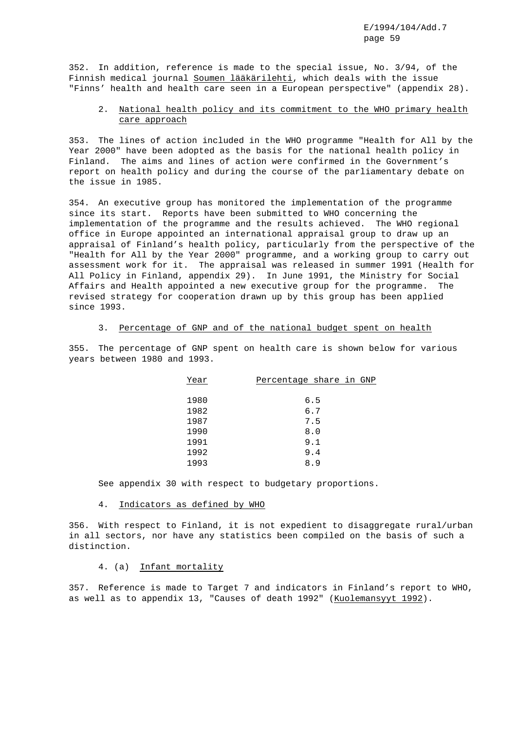352. In addition, reference is made to the special issue, No. 3/94, of the Finnish medical journal Soumen lääkärilehti, which deals with the issue "Finns' health and health care seen in a European perspective" (appendix 28).

# 2. National health policy and its commitment to the WHO primary health care approach

353. The lines of action included in the WHO programme "Health for All by the Year 2000" have been adopted as the basis for the national health policy in Finland. The aims and lines of action were confirmed in the Government's report on health policy and during the course of the parliamentary debate on the issue in 1985.

354. An executive group has monitored the implementation of the programme since its start. Reports have been submitted to WHO concerning the implementation of the programme and the results achieved. The WHO regional office in Europe appointed an international appraisal group to draw up an appraisal of Finland's health policy, particularly from the perspective of the "Health for All by the Year 2000" programme, and a working group to carry out assessment work for it. The appraisal was released in summer 1991 (Health for All Policy in Finland, appendix 29). In June 1991, the Ministry for Social Affairs and Health appointed a new executive group for the programme. The revised strategy for cooperation drawn up by this group has been applied since 1993.

### 3. Percentage of GNP and of the national budget spent on health

355. The percentage of GNP spent on health care is shown below for various years between 1980 and 1993.

| Year | Percentage share in GNP |     |  |
|------|-------------------------|-----|--|
|      |                         |     |  |
| 1980 |                         | 6.5 |  |
| 1982 |                         | 6.7 |  |
| 1987 |                         | 7.5 |  |
| 1990 |                         | 8.0 |  |
| 1991 |                         | 9.1 |  |
| 1992 |                         | 9.4 |  |
| 1993 |                         | 8.9 |  |

See appendix 30 with respect to budgetary proportions.

#### 4. Indicators as defined by WHO

356. With respect to Finland, it is not expedient to disaggregate rural/urban in all sectors, nor have any statistics been compiled on the basis of such a distinction.

### 4. (a) Infant mortality

357. Reference is made to Target 7 and indicators in Finland's report to WHO, as well as to appendix 13, "Causes of death 1992" (Kuolemansyyt 1992).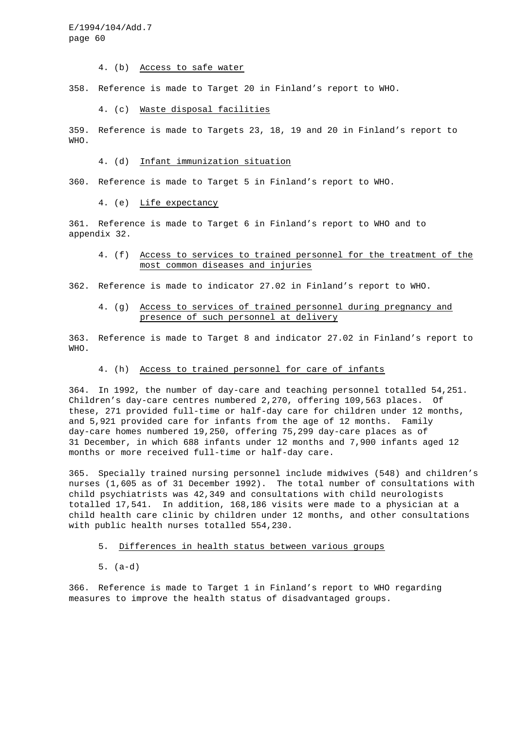4. (b) Access to safe water

358. Reference is made to Target 20 in Finland's report to WHO.

### 4. (c) Waste disposal facilities

359. Reference is made to Targets 23, 18, 19 and 20 in Finland's report to WHO.

#### 4. (d) Infant immunization situation

360. Reference is made to Target 5 in Finland's report to WHO.

4. (e) Life expectancy

361. Reference is made to Target 6 in Finland's report to WHO and to appendix 32.

### 4. (f) Access to services to trained personnel for the treatment of the most common diseases and injuries

362. Reference is made to indicator 27.02 in Finland's report to WHO.

# 4. (g) Access to services of trained personnel during pregnancy and presence of such personnel at delivery

363. Reference is made to Target 8 and indicator 27.02 in Finland's report to WHO.

### 4. (h) Access to trained personnel for care of infants

364. In 1992, the number of day-care and teaching personnel totalled 54,251. Children's day-care centres numbered 2,270, offering 109,563 places. Of these, 271 provided full-time or half-day care for children under 12 months, and 5,921 provided care for infants from the age of 12 months. Family day-care homes numbered 19,250, offering 75,299 day-care places as of 31 December, in which 688 infants under 12 months and 7,900 infants aged 12 months or more received full-time or half-day care.

365. Specially trained nursing personnel include midwives (548) and children's nurses (1,605 as of 31 December 1992). The total number of consultations with child psychiatrists was 42,349 and consultations with child neurologists totalled 17,541. In addition, 168,186 visits were made to a physician at a child health care clinic by children under 12 months, and other consultations with public health nurses totalled 554,230.

#### 5. Differences in health status between various groups

5. (a-d)

366. Reference is made to Target 1 in Finland's report to WHO regarding measures to improve the health status of disadvantaged groups.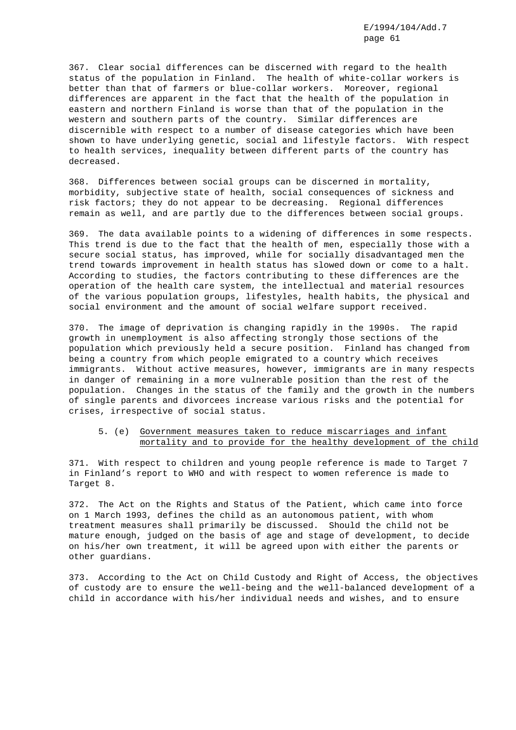367. Clear social differences can be discerned with regard to the health status of the population in Finland. The health of white-collar workers is better than that of farmers or blue-collar workers. Moreover, regional differences are apparent in the fact that the health of the population in eastern and northern Finland is worse than that of the population in the western and southern parts of the country. Similar differences are discernible with respect to a number of disease categories which have been shown to have underlying genetic, social and lifestyle factors. With respect to health services, inequality between different parts of the country has decreased.

368. Differences between social groups can be discerned in mortality, morbidity, subjective state of health, social consequences of sickness and risk factors; they do not appear to be decreasing. Regional differences remain as well, and are partly due to the differences between social groups.

369. The data available points to a widening of differences in some respects. This trend is due to the fact that the health of men, especially those with a secure social status, has improved, while for socially disadvantaged men the trend towards improvement in health status has slowed down or come to a halt. According to studies, the factors contributing to these differences are the operation of the health care system, the intellectual and material resources of the various population groups, lifestyles, health habits, the physical and social environment and the amount of social welfare support received.

370. The image of deprivation is changing rapidly in the 1990s. The rapid growth in unemployment is also affecting strongly those sections of the population which previously held a secure position. Finland has changed from being a country from which people emigrated to a country which receives immigrants. Without active measures, however, immigrants are in many respects in danger of remaining in a more vulnerable position than the rest of the population. Changes in the status of the family and the growth in the numbers of single parents and divorcees increase various risks and the potential for crises, irrespective of social status.

### 5. (e) Government measures taken to reduce miscarriages and infant mortality and to provide for the healthy development of the child

371. With respect to children and young people reference is made to Target 7 in Finland's report to WHO and with respect to women reference is made to Target 8.

372. The Act on the Rights and Status of the Patient, which came into force on 1 March 1993, defines the child as an autonomous patient, with whom treatment measures shall primarily be discussed. Should the child not be mature enough, judged on the basis of age and stage of development, to decide on his/her own treatment, it will be agreed upon with either the parents or other guardians.

373. According to the Act on Child Custody and Right of Access, the objectives of custody are to ensure the well-being and the well-balanced development of a child in accordance with his/her individual needs and wishes, and to ensure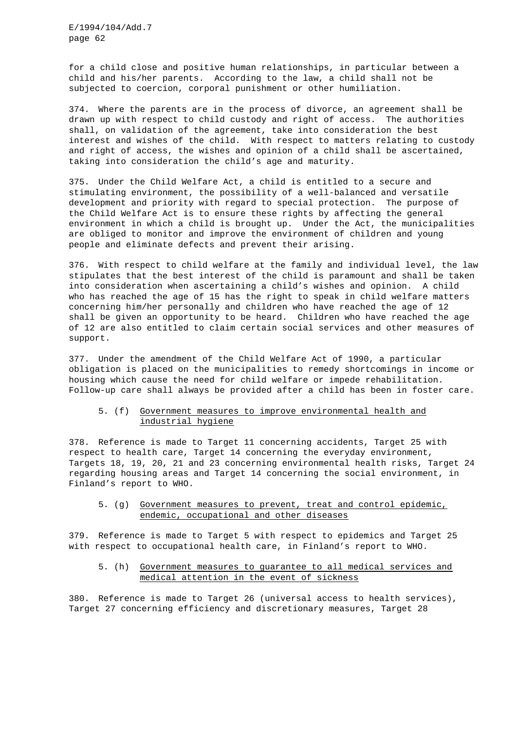for a child close and positive human relationships, in particular between a child and his/her parents. According to the law, a child shall not be subjected to coercion, corporal punishment or other humiliation.

374. Where the parents are in the process of divorce, an agreement shall be drawn up with respect to child custody and right of access. The authorities shall, on validation of the agreement, take into consideration the best interest and wishes of the child. With respect to matters relating to custody and right of access, the wishes and opinion of a child shall be ascertained, taking into consideration the child's age and maturity.

375. Under the Child Welfare Act, a child is entitled to a secure and stimulating environment, the possibility of a well-balanced and versatile development and priority with regard to special protection. The purpose of the Child Welfare Act is to ensure these rights by affecting the general environment in which a child is brought up. Under the Act, the municipalities are obliged to monitor and improve the environment of children and young people and eliminate defects and prevent their arising.

376. With respect to child welfare at the family and individual level, the law stipulates that the best interest of the child is paramount and shall be taken into consideration when ascertaining a child's wishes and opinion. A child who has reached the age of 15 has the right to speak in child welfare matters concerning him/her personally and children who have reached the age of 12 shall be given an opportunity to be heard. Children who have reached the age of 12 are also entitled to claim certain social services and other measures of support.

377. Under the amendment of the Child Welfare Act of 1990, a particular obligation is placed on the municipalities to remedy shortcomings in income or housing which cause the need for child welfare or impede rehabilitation. Follow-up care shall always be provided after a child has been in foster care.

# 5. (f) Government measures to improve environmental health and industrial hygiene

378. Reference is made to Target 11 concerning accidents, Target 25 with respect to health care, Target 14 concerning the everyday environment, Targets 18, 19, 20, 21 and 23 concerning environmental health risks, Target 24 regarding housing areas and Target 14 concerning the social environment, in Finland's report to WHO.

# 5. (g) Government measures to prevent, treat and control epidemic, endemic, occupational and other diseases

379. Reference is made to Target 5 with respect to epidemics and Target 25 with respect to occupational health care, in Finland's report to WHO.

# 5. (h) Government measures to guarantee to all medical services and medical attention in the event of sickness

380. Reference is made to Target 26 (universal access to health services), Target 27 concerning efficiency and discretionary measures, Target 28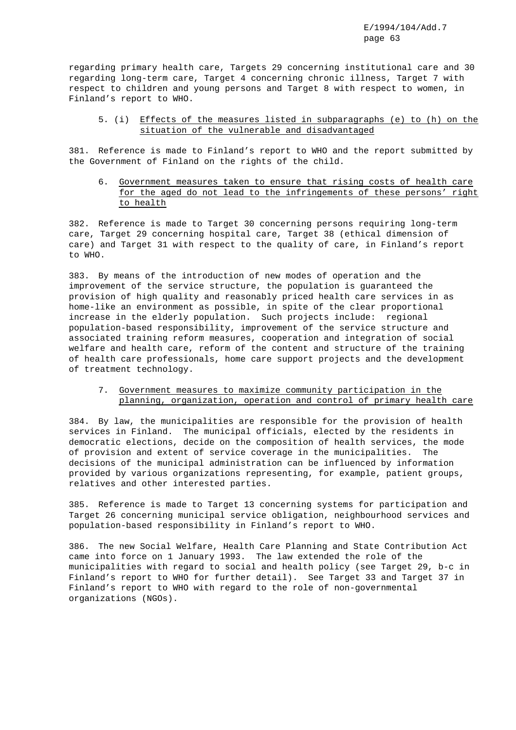regarding primary health care, Targets 29 concerning institutional care and 30 regarding long-term care, Target 4 concerning chronic illness, Target 7 with respect to children and young persons and Target 8 with respect to women, in Finland's report to WHO.

# 5. (i) Effects of the measures listed in subparagraphs (e) to (h) on the situation of the vulnerable and disadvantaged

381. Reference is made to Finland's report to WHO and the report submitted by the Government of Finland on the rights of the child.

6. Government measures taken to ensure that rising costs of health care for the aged do not lead to the infringements of these persons' right to health

382. Reference is made to Target 30 concerning persons requiring long-term care, Target 29 concerning hospital care, Target 38 (ethical dimension of care) and Target 31 with respect to the quality of care, in Finland's report to WHO.

383. By means of the introduction of new modes of operation and the improvement of the service structure, the population is guaranteed the provision of high quality and reasonably priced health care services in as home-like an environment as possible, in spite of the clear proportional increase in the elderly population. Such projects include: regional population-based responsibility, improvement of the service structure and associated training reform measures, cooperation and integration of social welfare and health care, reform of the content and structure of the training of health care professionals, home care support projects and the development of treatment technology.

# 7. Government measures to maximize community participation in the planning, organization, operation and control of primary health care

384. By law, the municipalities are responsible for the provision of health services in Finland. The municipal officials, elected by the residents in democratic elections, decide on the composition of health services, the mode of provision and extent of service coverage in the municipalities. The decisions of the municipal administration can be influenced by information provided by various organizations representing, for example, patient groups, relatives and other interested parties.

385. Reference is made to Target 13 concerning systems for participation and Target 26 concerning municipal service obligation, neighbourhood services and population-based responsibility in Finland's report to WHO.

386. The new Social Welfare, Health Care Planning and State Contribution Act came into force on 1 January 1993. The law extended the role of the municipalities with regard to social and health policy (see Target 29, b-c in Finland's report to WHO for further detail). See Target 33 and Target 37 in Finland's report to WHO with regard to the role of non-governmental organizations (NGOs).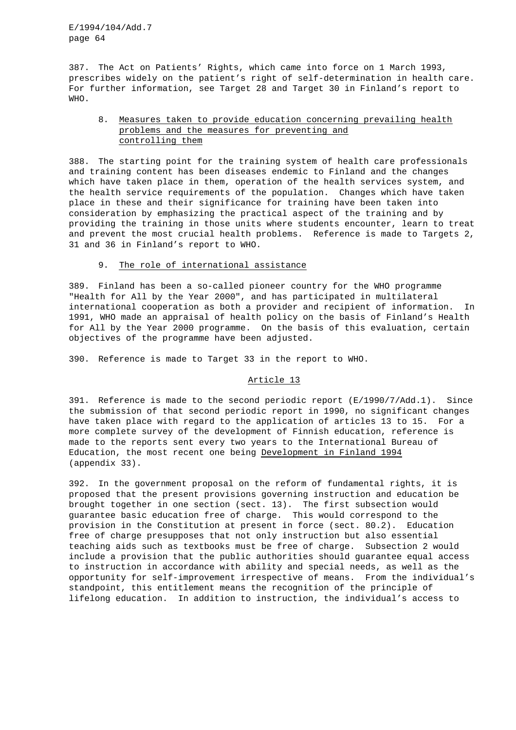387. The Act on Patients' Rights, which came into force on 1 March 1993, prescribes widely on the patient's right of self-determination in health care. For further information, see Target 28 and Target 30 in Finland's report to WHO.

# 8. Measures taken to provide education concerning prevailing health problems and the measures for preventing and controlling them

388. The starting point for the training system of health care professionals and training content has been diseases endemic to Finland and the changes which have taken place in them, operation of the health services system, and the health service requirements of the population. Changes which have taken place in these and their significance for training have been taken into consideration by emphasizing the practical aspect of the training and by providing the training in those units where students encounter, learn to treat and prevent the most crucial health problems. Reference is made to Targets 2, 31 and 36 in Finland's report to WHO.

# 9. The role of international assistance

389. Finland has been a so-called pioneer country for the WHO programme "Health for All by the Year 2000", and has participated in multilateral international cooperation as both a provider and recipient of information. In 1991, WHO made an appraisal of health policy on the basis of Finland's Health for All by the Year 2000 programme. On the basis of this evaluation, certain objectives of the programme have been adjusted.

390. Reference is made to Target 33 in the report to WHO.

# Article 13

391. Reference is made to the second periodic report (E/1990/7/Add.1). Since the submission of that second periodic report in 1990, no significant changes have taken place with regard to the application of articles 13 to 15. For a more complete survey of the development of Finnish education, reference is made to the reports sent every two years to the International Bureau of Education, the most recent one being Development in Finland 1994 (appendix 33).

392. In the government proposal on the reform of fundamental rights, it is proposed that the present provisions governing instruction and education be brought together in one section (sect. 13). The first subsection would guarantee basic education free of charge. This would correspond to the provision in the Constitution at present in force (sect. 80.2). Education free of charge presupposes that not only instruction but also essential teaching aids such as textbooks must be free of charge. Subsection 2 would include a provision that the public authorities should guarantee equal access to instruction in accordance with ability and special needs, as well as the opportunity for self-improvement irrespective of means. From the individual's standpoint, this entitlement means the recognition of the principle of lifelong education. In addition to instruction, the individual's access to